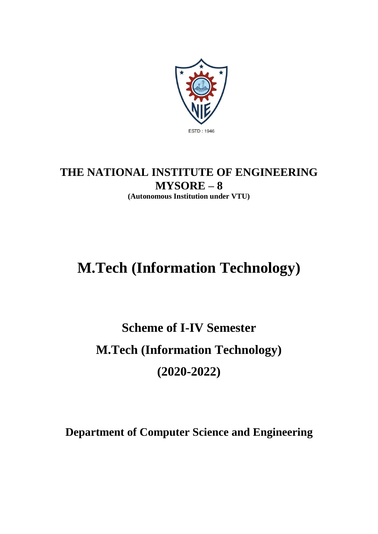

## **THE NATIONAL INSTITUTE OF ENGINEERING MYSORE – 8 (Autonomous Institution under VTU)**

# **M.Tech (Information Technology)**

# **Scheme of I-IV Semester M.Tech (Information Technology) (2020-2022)**

**Department of Computer Science and Engineering**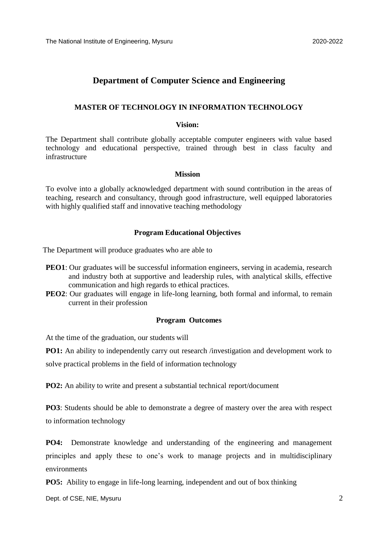#### **Department of Computer Science and Engineering**

#### **MASTER OF TECHNOLOGY IN INFORMATION TECHNOLOGY**

#### **Vision:**

The Department shall contribute globally acceptable computer engineers with value based technology and educational perspective, trained through best in class faculty and infrastructure

#### **Mission**

To evolve into a globally acknowledged department with sound contribution in the areas of teaching, research and consultancy, through good infrastructure, well equipped laboratories with highly qualified staff and innovative teaching methodology

#### **Program Educational Objectives**

The Department will produce graduates who are able to

- **PEO1**: Our graduates will be successful information engineers, serving in academia, research and industry both at supportive and leadership rules, with analytical skills, effective communication and high regards to ethical practices.
- **PEO2**: Our graduates will engage in life-long learning, both formal and informal, to remain current in their profession

#### **Program Outcomes**

At the time of the graduation, our students will

**PO1:** An ability to independently carry out research /investigation and development work to solve practical problems in the field of information technology

**PO2:** An ability to write and present a substantial technical report/document

**PO3**: Students should be able to demonstrate a degree of mastery over the area with respect to information technology

**PO4:** Demonstrate knowledge and understanding of the engineering and management principles and apply these to one's work to manage projects and in multidisciplinary environments

**PO5:** Ability to engage in life-long learning, independent and out of box thinking

Dept. of CSE, NIE, Mysuru 2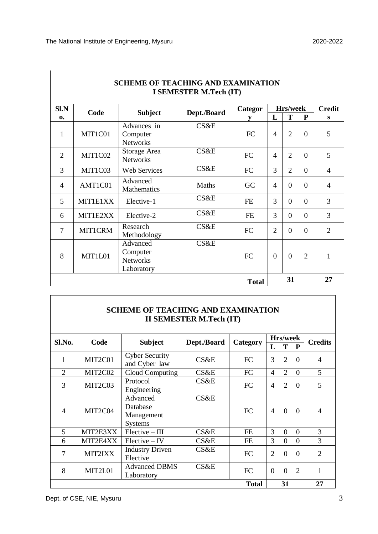|                |                          | <b>SCHEME OF TEACHING AND EXAMINATION</b>             | I SEMESTER M.Tech (IT) |           |                |                |                |                |
|----------------|--------------------------|-------------------------------------------------------|------------------------|-----------|----------------|----------------|----------------|----------------|
| Sl.N           | Code                     | <b>Subject</b>                                        | Dept./Board            | Categor   |                | Hrs/week       |                | <b>Credit</b>  |
| $\mathbf{0}$   |                          |                                                       |                        | y         | L              | T              | P              | S              |
| 1              | MIT1C01                  | Advances in<br>Computer<br><b>Networks</b>            | <b>CS&amp;E</b>        | FC        | $\overline{4}$ | $\overline{2}$ | $\Omega$       | 5              |
| $\overline{2}$ | MIT1C02                  | Storage Area<br><b>Networks</b>                       | CS&E                   | FC        | $\overline{4}$ | $\overline{2}$ | $\theta$       | 5              |
| 3              | MIT1C03                  | <b>Web Services</b>                                   | CS&E                   | FC        | 3              | $\overline{2}$ | $\theta$       | $\overline{4}$ |
| $\overline{4}$ | AMT1C01                  | Advanced<br>Mathematics                               | Maths                  | GC        | $\overline{4}$ | $\Omega$       | $\theta$       | $\overline{4}$ |
| 5              | MIT1E1XX                 | Elective-1                                            | CS&E                   | <b>FE</b> | 3              | $\Omega$       | $\theta$       | 3              |
| 6              | MIT1E2XX                 | Elective-2                                            | <b>CS&amp;E</b>        | <b>FE</b> | 3              | $\Omega$       | $\theta$       | 3              |
| 7              | <b>MIT1CRM</b>           | Research<br>Methodology                               | CS&E                   | FC        | $\overline{2}$ | $\Omega$       | $\Omega$       | $\overline{2}$ |
| 8              | MIT1L01                  | Advanced<br>Computer<br><b>Networks</b><br>Laboratory | CS&E                   | <b>FC</b> | $\overline{0}$ | $\Omega$       | $\overline{2}$ | $\mathbf{1}$   |
|                | 31<br>27<br><b>Total</b> |                                                       |                        |           |                |                |                |                |

| <b>SCHEME OF TEACHING AND EXAMINATION</b> |
|-------------------------------------------|
| II SEMESTER M.Tech (IT)                   |

| Sl.No.         | Code           |                                               |             |              |                | Hrs/week       |                | <b>Credits</b>           |
|----------------|----------------|-----------------------------------------------|-------------|--------------|----------------|----------------|----------------|--------------------------|
|                |                | <b>Subject</b>                                | Dept./Board | Category     | L              | T              | P              |                          |
|                | MIT2C01        | <b>Cyber Security</b><br>and Cyber law        | CS&E        | <b>FC</b>    | 3              | $\overline{2}$ | $\Omega$       | $\overline{4}$           |
| $\overline{2}$ | MIT2C02        | Cloud Computing                               | CS&E        | FC           | 4              | $\overline{2}$ | $\Omega$       | 5                        |
| 3              | MIT2C03        | Protocol<br>Engineering                       | CS&E        | <b>FC</b>    | $\overline{4}$ | $\overline{2}$ | $\Omega$       | 5                        |
| $\overline{4}$ | MIT2C04        | Advanced<br>Database<br>Management<br>Systems | CS&E        | <b>FC</b>    | $\overline{4}$ | $\Omega$       | $\Omega$       | $\overline{4}$           |
| 5              | MIT2E3XX       | $Elective - III$                              | CS&E        | FE           | 3              | $\overline{0}$ | $\Omega$       | 3                        |
| 6              | MIT2E4XX       | $Electric - IV$                               | CS&E        | <b>FE</b>    | 3              | $\Omega$       | $\Omega$       | 3                        |
| 7              | <b>MIT2IXX</b> | <b>Industry Driven</b><br>Elective            | CS&E        | <b>FC</b>    | $\overline{2}$ | $\Omega$       | $\Omega$       | $\mathfrak{D}_{1}^{(1)}$ |
| 8              | MIT2L01        | <b>Advanced DBMS</b><br>Laboratory            | CS&E        | FC           | $\theta$       | $\Omega$       | $\overline{2}$ | 1                        |
|                |                |                                               |             | <b>Total</b> |                | 31             |                | 27                       |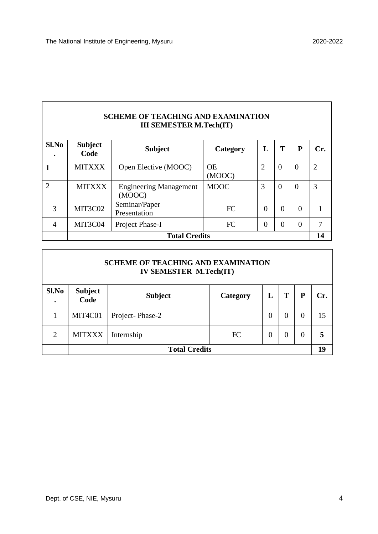٦

 $\overline{\phantom{a}}$ 

r

| <b>SCHEME OF TEACHING AND EXAMINATION</b><br><b>III SEMESTER M.Tech(IT)</b> |                        |                                         |                     |                |                |                |                |  |  |
|-----------------------------------------------------------------------------|------------------------|-----------------------------------------|---------------------|----------------|----------------|----------------|----------------|--|--|
| Sl.No                                                                       | <b>Subject</b><br>Code | <b>Subject</b>                          | Category            | L              | T              | P              | Cr.            |  |  |
|                                                                             | <b>MITXXX</b>          | Open Elective (MOOC)                    | <b>OE</b><br>(MOOC) | $\overline{2}$ | $\Omega$       | $\theta$       | $\overline{2}$ |  |  |
| $\overline{2}$                                                              | <b>MITXXX</b>          | <b>Engineering Management</b><br>(MOOC) | <b>MOOC</b>         | 3              | $\Omega$       | $\Omega$       | 3              |  |  |
| 3                                                                           | MIT3C02                | Seminar/Paper<br>Presentation           | <b>FC</b>           | $\theta$       | $\theta$       | $\Omega$       |                |  |  |
| 4                                                                           | MIT3C04                | Project Phase-I                         | <b>FC</b>           | $\theta$       | $\overline{0}$ | $\overline{0}$ | 7              |  |  |
|                                                                             | <b>Total Credits</b>   |                                         |                     |                |                |                |                |  |  |

| <b>SCHEME OF TEACHING AND EXAMINATION</b><br><b>IV SEMESTER M.Tech(IT)</b> |                        |                      |          |          |          |          |     |  |  |  |
|----------------------------------------------------------------------------|------------------------|----------------------|----------|----------|----------|----------|-----|--|--|--|
| Sl.No<br>$\bullet$                                                         | <b>Subject</b><br>Code | <b>Subject</b>       | Category | L        | T        | P        | Cr. |  |  |  |
| 1                                                                          | MIT4C01                | Project-Phase-2      |          | $\theta$ | $\Omega$ | $\Omega$ | 15  |  |  |  |
| $\overline{2}$                                                             | <b>MITXXX</b>          | Internship           | FC       | $\theta$ | $\theta$ | $\theta$ | 5   |  |  |  |
|                                                                            |                        | <b>Total Credits</b> |          |          |          |          | 19  |  |  |  |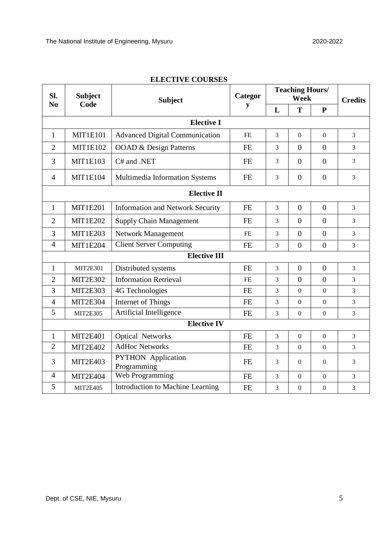| Sl.            | <b>Subject</b>  | <b>Subject</b>                           | Categor   | <b>Teaching Hours/</b><br>Week |                  |                  | <b>Credits</b> |
|----------------|-----------------|------------------------------------------|-----------|--------------------------------|------------------|------------------|----------------|
| N <sub>0</sub> | Code            |                                          | y         | L                              | T                | ${\bf P}$        |                |
|                |                 | <b>Elective I</b>                        |           |                                |                  |                  |                |
| $\mathbf{1}$   | <b>MIT1E101</b> | <b>Advanced Digital Communication</b>    | FE        | 3                              | $\boldsymbol{0}$ | $\boldsymbol{0}$ | 3              |
| $\overline{2}$ | <b>MIT1E102</b> | OOAD & Design Patterns                   | <b>FE</b> | 3                              | $\overline{0}$   | $\overline{0}$   | 3              |
| 3              | <b>MIT1E103</b> | C# and .NET                              | <b>FE</b> | 3                              | $\overline{0}$   | $\overline{0}$   | 3              |
| $\overline{4}$ | <b>MIT1E104</b> | Multimedia Information Systems           | <b>FE</b> | 3                              | $\overline{0}$   | $\overline{0}$   | 3              |
|                |                 | <b>Elective II</b>                       |           |                                |                  |                  |                |
| $\mathbf{1}$   | <b>MIT1E201</b> | <b>Information and Network Security</b>  | <b>FE</b> | 3                              | $\overline{0}$   | $\overline{0}$   | $\overline{3}$ |
| $\overline{2}$ | <b>MIT1E202</b> | <b>Supply Chain Management</b>           | <b>FE</b> | 3                              | $\theta$         | $\overline{0}$   | 3              |
| 3              | <b>MIT1E203</b> | Network Management                       | <b>FE</b> | 3                              | $\overline{0}$   | $\boldsymbol{0}$ | $\overline{3}$ |
| $\overline{4}$ | <b>MIT1E204</b> | <b>Client Server Computing</b>           | <b>FE</b> | 3                              | $\overline{0}$   | $\overline{0}$   | 3              |
|                |                 | <b>Elective III</b>                      |           |                                |                  |                  |                |
| 1              | <b>MIT2E301</b> | Distributed systems                      | <b>FE</b> | 3                              | $\overline{0}$   | $\boldsymbol{0}$ | 3              |
| $\overline{2}$ | <b>MIT2E302</b> | <b>Information Retrieval</b>             | <b>FE</b> | 3                              | $\overline{0}$   | $\overline{0}$   | 3              |
| 3              | <b>MIT2E303</b> | 4G Technologies                          | <b>FE</b> | 3                              | $\mathbf{0}$     | $\mathbf{0}$     | 3              |
| $\overline{4}$ | MIT2E304        | Internet of Things                       | <b>FE</b> | 3                              | $\boldsymbol{0}$ | $\boldsymbol{0}$ | 3              |
| 5              | <b>MIT2E305</b> | Artificial Intelligence                  | <b>FE</b> | 3                              | $\boldsymbol{0}$ | $\boldsymbol{0}$ | 3              |
|                |                 | <b>Elective IV</b>                       |           |                                |                  |                  |                |
| $\mathbf{1}$   | <b>MIT2E401</b> | <b>Optical Networks</b>                  | <b>FE</b> | 3                              | $\overline{0}$   | $\overline{0}$   | 3              |
| $\overline{2}$ | <b>MIT2E402</b> | <b>AdHoc Networks</b>                    | <b>FE</b> | 3                              | $\mathbf{0}$     | $\boldsymbol{0}$ | 3              |
| 3              | <b>MIT2E403</b> | <b>PYTHON</b> Application<br>Programming | <b>FE</b> | 3                              | $\boldsymbol{0}$ | $\boldsymbol{0}$ | 3              |
| $\overline{4}$ | MIT2E404        | Web Programming                          | FE        | 3                              | $\mathbf{0}$     | $\mathbf{0}$     | 3              |
| 5              | <b>MIT2E405</b> | Introduction to Machine Learning         | <b>FE</b> | 3                              | $\boldsymbol{0}$ | $\boldsymbol{0}$ | 3              |

#### **ELECTIVE COURSES**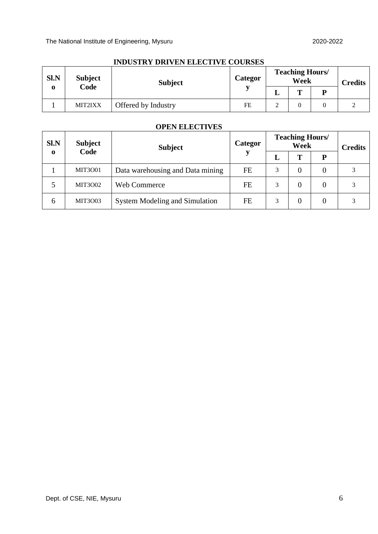|      |                | поровна ратура Европу соотмро |         |   |                                |                |
|------|----------------|-------------------------------|---------|---|--------------------------------|----------------|
| Sl.N | <b>Subject</b> | <b>Subject</b>                | Categor |   | <b>Teaching Hours/</b><br>Week | <b>Credits</b> |
| 0    | Code           |                               |         | ┻ | m                              |                |
|      | MIT2IXX        | Offered by Industry           | FE      | ◠ |                                |                |

#### **INDUSTRY DRIVEN ELECTIVE COURSES**

#### **OPEN ELECTIVES**

| Sl.N        | <b>Subject</b> | <b>Subject</b>                        | Categor   |   | <b>Teaching Hours/</b><br>Week |          | <b>Credits</b> |
|-------------|----------------|---------------------------------------|-----------|---|--------------------------------|----------|----------------|
| $\mathbf 0$ | Code           |                                       |           | L | T                              | D        |                |
|             | <b>MIT3001</b> | Data warehousing and Data mining      | <b>FE</b> | 3 |                                | 0        |                |
| 5           | <b>MIT3002</b> | Web Commerce                          | FE        | 3 |                                | $\theta$ |                |
| 6           | <b>MIT3003</b> | <b>System Modeling and Simulation</b> | FE        | 3 |                                | 0        |                |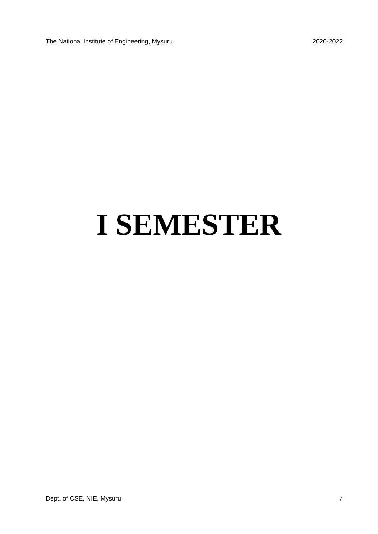The National Institute of Engineering, Mysuru 2020-2022

# **I SEMESTER**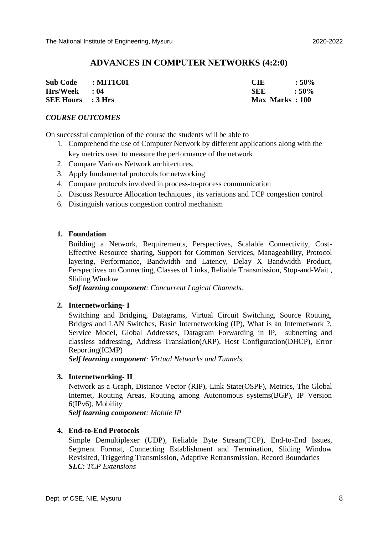#### **ADVANCES IN COMPUTER NETWORKS (4:2:0)**

| Sub Code : MIT1C01       | <b>CIE</b>     | $:50\%$       |
|--------------------------|----------------|---------------|
| Hrs/Week : 04            | <b>SEE</b>     | $\cdot$ : 50% |
| <b>SEE Hours</b> : 3 Hrs | Max Marks: 100 |               |

#### *COURSE OUTCOMES*

On successful completion of the course the students will be able to

- 1. Comprehend the use of Computer Network by different applications along with the key metrics used to measure the performance of the network
- 2. Compare Various Network architectures.
- 3. Apply fundamental protocols for networking
- 4. Compare protocols involved in process-to-process communication
- 5. Discuss Resource Allocation techniques , its variations and TCP congestion control
- 6. Distinguish various congestion control mechanism

#### **1. Foundation**

Building a Network, Requirements, Perspectives, Scalable Connectivity, Cost-Effective Resource sharing, Support for Common Services, Manageability, Protocol layering, Performance, Bandwidth and Latency, Delay X Bandwidth Product, Perspectives on Connecting, Classes of Links, Reliable Transmission, Stop-and-Wait , Sliding Window

*Self learning component: Concurrent Logical Channels.*

#### **2. Internetworking- I**

Switching and Bridging, Datagrams, Virtual Circuit Switching, Source Routing, Bridges and LAN Switches, Basic Internetworking (IP), What is an Internetwork ?, Service Model, Global Addresses, Datagram Forwarding in IP, subnetting and classless addressing, Address Translation(ARP), Host Configuration(DHCP), Error Reporting(ICMP)

*Self learning component: Virtual Networks and Tunnels.*

#### **3. Internetworking- II**

Network as a Graph, Distance Vector (RIP), Link State(OSPF), Metrics, The Global Internet, Routing Areas, Routing among Autonomous systems(BGP), IP Version 6(IPv6), Mobility

*Self learning component: Mobile IP*

#### **4. End-to-End Protocols**

Simple Demultiplexer (UDP), Reliable Byte Stream(TCP), End-to-End Issues, Segment Format, Connecting Establishment and Termination, Sliding Window Revisited, Triggering Transmission, Adaptive Retransmission, Record Boundaries *SLC: TCP Extensions*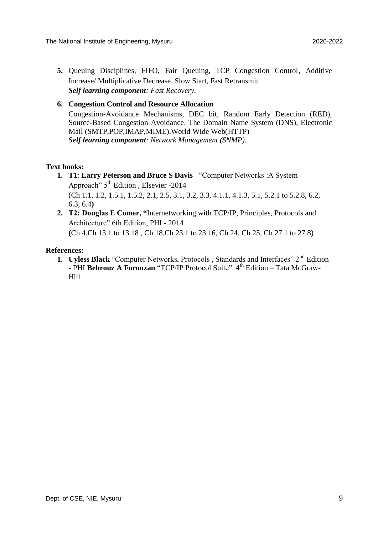**5.** Queuing Disciplines, FIFO, Fair Queuing, TCP Congestion Control, Additive Increase/ Multiplicative Decrease, Slow Start, Fast Retransmit *Self learning component: Fast Recovery.*

#### **6. Congestion Control and Resource Allocation**

Congestion-Avoidance Mechanisms, DEC bit, Random Early Detection (RED), Source-Based Congestion Avoidance. The Domain Name System (DNS), Electronic Mail (SMTP,POP,IMAP,MIME),World Wide Web(HTTP) *Self learning component: Network Management (SNMP).*

#### **Text books:**

- **1. T1**: **Larry Peterson and Bruce S Davis** "Computer Networks :A System Approach"  $5<sup>th</sup>$  Edition, Elsevier -2014 (Ch 1.1, 1.2, 1.5.1, 1.5.2, 2.1, 2.5, 3.1, 3.2, 3.3, 4.1.1, 4.1.3, 5.1, 5.2.1 to 5.2.8, 6.2, 6.3, 6.4**)**
- **2. T2: Douglas E Comer, "**Internetworking with TCP/IP, Principles, Protocols and Architecture" 6th Edition, PHI - 2014 **(**Ch 4,Ch 13.1 to 13.18 , Ch 18,Ch 23.1 to 23.16, Ch 24, Ch 25, Ch 27.1 to 27.8)

#### **References:**

**1. Uyless Black** "Computer Networks, Protocols, Standards and Interfaces" 2<sup>nd</sup> Edition - PHI **Behrouz A Forouzan** "TCP/IP Protocol Suite" 4<sup>th</sup> Edition – Tata McGraw-Hill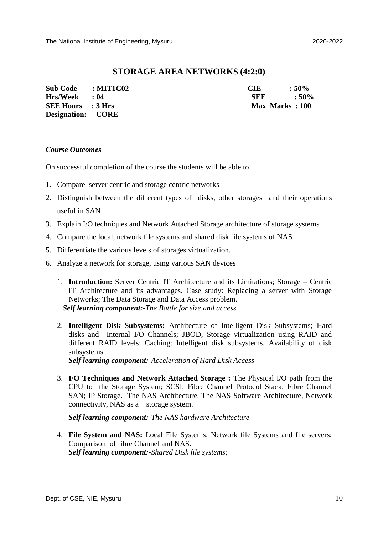#### **STORAGE AREA NETWORKS (4:2:0)**

| Sub Code : MIT1C02       | CIE.           | $:50\%$       |
|--------------------------|----------------|---------------|
| $Hrs/Week$ : 04          | SEE            | $\cdot$ : 50% |
| <b>SEE Hours</b> : 3 Hrs | Max Marks: 100 |               |
| <b>Designation:</b> CORE |                |               |

#### *Course Outcomes*

On successful completion of the course the students will be able to

- 1. Compare server centric and storage centric networks
- 2. Distinguish between the different types of disks, other storages and their operations useful in SAN
- 3. Explain I/O techniques and Network Attached Storage architecture of storage systems
- 4. Compare the local, network file systems and shared disk file systems of NAS
- 5. Differentiate the various levels of storages virtualization.
- 6. Analyze a network for storage, using various SAN devices
	- 1. **Introduction:** Server Centric IT Architecture and its Limitations; Storage Centric IT Architecture and its advantages. Case study: Replacing a server with Storage Networks; The Data Storage and Data Access problem.  *Self learning component:-The Battle for size and access*
	- 2. **Intelligent Disk Subsystems:** Architecture of Intelligent Disk Subsystems; Hard disks and Internal I/O Channels; JBOD, Storage virtualization using RAID and different RAID levels; Caching: Intelligent disk subsystems, Availability of disk subsystems.

*Self learning component:-Acceleration of Hard Disk Access*

3. **I/O Techniques and Network Attached Storage :** The Physical I/O path from the CPU to the Storage System; SCSI; Fibre Channel Protocol Stack; Fibre Channel SAN; IP Storage. The NAS Architecture. The NAS Software Architecture, Network connectivity, NAS as a storage system.

 *Self learning component:-The NAS hardware Architecture*

4. **File System and NAS:** Local File Systems; Network file Systems and file servers; Comparison of fibre Channel and NAS. *Self learning component:-Shared Disk file systems;*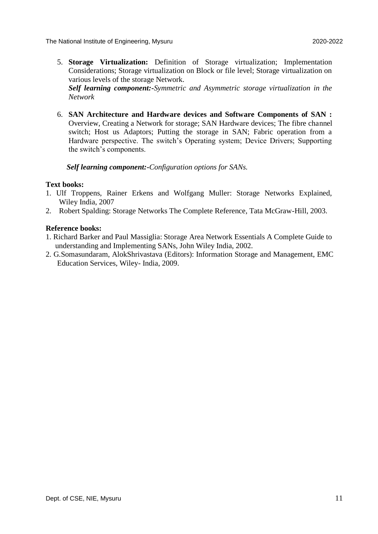5. **Storage Virtualization:** Definition of Storage virtualization; Implementation Considerations; Storage virtualization on Block or file level; Storage virtualization on various levels of the storage Network.

*Self learning component:-Symmetric and Asymmetric storage virtualization in the Network*

6. **SAN Architecture and Hardware devices and Software Components of SAN :**  Overview, Creating a Network for storage; SAN Hardware devices; The fibre channel switch; Host us Adaptors; Putting the storage in SAN; Fabric operation from a Hardware perspective. The switch's Operating system; Device Drivers; Supporting the switch's components.

*Self learning component:-Configuration options for SANs.*

#### **Text books:**

- 1. Ulf Troppens, Rainer Erkens and Wolfgang Muller: Storage Networks Explained, Wiley India, 2007
- 2. Robert Spalding: Storage Networks The Complete Reference, Tata McGraw-Hill, 2003.

#### **Reference books:**

- 1. Richard Barker and Paul Massiglia: Storage Area Network Essentials A Complete Guide to understanding and Implementing SANs, John Wiley India, 2002.
- 2. G.Somasundaram, AlokShrivastava (Editors): Information Storage and Management, EMC Education Services, Wiley- India, 2009.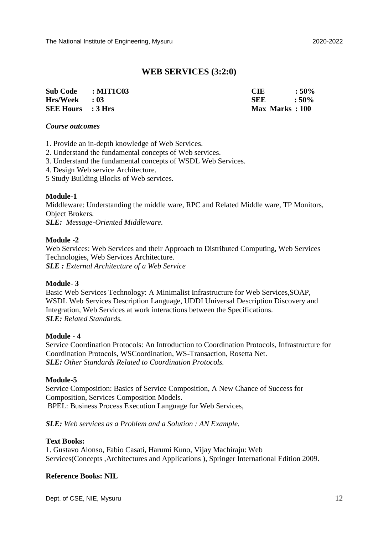#### **WEB SERVICES (3:2:0)**

| Sub Code : MIT1C03       | <b>CIE</b>     | $:50\%$       |
|--------------------------|----------------|---------------|
| $Hrs/Week$ : 03          | <b>SEE</b>     | $\cdot$ : 50% |
| <b>SEE Hours</b> : 3 Hrs | Max Marks: 100 |               |

#### *Course outcomes*

- 1. Provide an in-depth knowledge of Web Services.
- 2. Understand the fundamental concepts of Web services.
- 3. Understand the fundamental concepts of WSDL Web Services.
- 4. Design Web service Architecture.
- 5 Study Building Blocks of Web services.

#### **Module-1**

Middleware: Understanding the middle ware, RPC and Related Middle ware, TP Monitors, Object Brokers.

*SLE: Message-Oriented Middleware.*

#### **Module -2**

Web Services: Web Services and their Approach to Distributed Computing, Web Services Technologies, Web Services Architecture. *SLE : External Architecture of a Web Service*

#### **Module- 3**

Basic Web Services Technology: A Minimalist Infrastructure for Web Services,SOAP, WSDL Web Services Description Language, UDDI Universal Description Discovery and Integration, Web Services at work interactions between the Specifications. *SLE: Related Standards.*

#### **Module - 4**

Service Coordination Protocols: An Introduction to Coordination Protocols, Infrastructure for Coordination Protocols, WSCoordination, WS-Transaction, Rosetta Net. *SLE: Other Standards Related to Coordination Protocols.*

#### **Module-5**

Service Composition: Basics of Service Composition, A New Chance of Success for Composition, Services Composition Models. BPEL: Business Process Execution Language for Web Services,

#### *SLE: Web services as a Problem and a Solution : AN Example.*

#### **Text Books:**

1. Gustavo Alonso, Fabio Casati, Harumi Kuno, Vijay Machiraju: Web Services(Concepts ,Architectures and Applications ), Springer International Edition 2009.

#### **Reference Books: NIL**

Dept. of CSE, NIE, Mysuru 12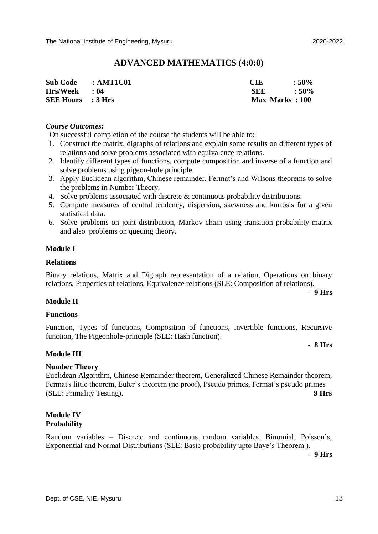#### **ADVANCED MATHEMATICS (4:0:0)**

| Sub Code : AMT1C01       | <b>CIE</b>     | $:50\%$ |
|--------------------------|----------------|---------|
| $Hrs/Week$ : 04          | <b>SEE</b>     | $:50\%$ |
| <b>SEE Hours</b> : 3 Hrs | Max Marks: 100 |         |

#### *Course Outcomes:*

On successful completion of the course the students will be able to:

- 1. Construct the matrix, digraphs of relations and explain some results on different types of relations and solve problems associated with equivalence relations.
- 2. Identify different types of functions, compute composition and inverse of a function and solve problems using pigeon-hole principle.
- 3. Apply Euclidean algorithm, Chinese remainder, Fermat's and Wilsons theorems to solve the problems in Number Theory.
- 4. Solve problems associated with discrete & continuous probability distributions.
- 5. Compute measures of central tendency, dispersion, skewness and kurtosis for a given statistical data.
- 6. Solve problems on joint distribution, Markov chain using transition probability matrix and also problems on queuing theory.

#### **Module I**

#### **Relations**

Binary relations, Matrix and Digraph representation of a relation, Operations on binary relations, Properties of relations, Equivalence relations (SLE: Composition of relations).

**- 9 Hrs**

#### **Module II**

#### **Functions**

Function, Types of functions, Composition of functions, Invertible functions, Recursive function, The Pigeonhole-principle (SLE: Hash function).

#### **- 8 Hrs**

#### **Module III**

#### **Number Theory**

Euclidean Algorithm, Chinese Remainder theorem, Generalized Chinese Remainder theorem, Fermat's little theorem, Euler's theorem (no proof), Pseudo primes, Fermat's pseudo primes (SLE: Primality Testing). **9 Hrs** 

#### **Module IV Probability**

Random variables – Discrete and continuous random variables, Binomial, Poisson's, Exponential and Normal Distributions (SLE: Basic probability upto Baye's Theorem ).

**- 9 Hrs**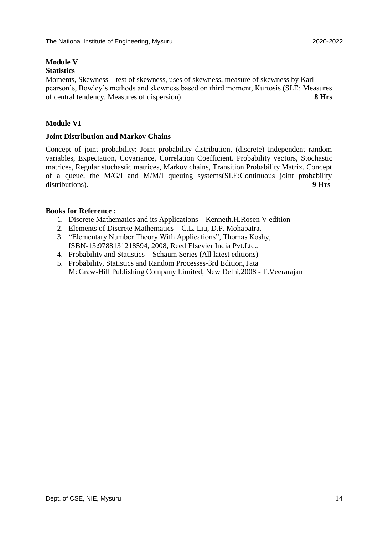## **Module V**

## **Statistics**

Moments, Skewness – test of skewness, uses of skewness, measure of skewness by Karl pearson's, Bowley's methods and skewness based on third moment, Kurtosis (SLE: Measures of central tendency, Measures of dispersion) **8 Hrs**

#### **Module VI**

#### **Joint Distribution and Markov Chains**

Concept of joint probability: Joint probability distribution, (discrete) Independent random variables, Expectation, Covariance, Correlation Coefficient. Probability vectors, Stochastic matrices, Regular stochastic matrices, Markov chains, Transition Probability Matrix. Concept of a queue, the M/G/I and M/M/I queuing systems(SLE:Continuous joint probability distributions). **9 Hrs**

#### **Books for Reference :**

- 1. Discrete Mathematics and its Applications Kenneth.H.Rosen V edition
- 2. Elements of Discrete Mathematics C.L. Liu, D.P. Mohapatra.
- 3. "Elementary Number Theory With Applications", Thomas Koshy, ISBN-13:9788131218594, 2008, Reed Elsevier India Pvt.Ltd..
- 4. Probability and Statistics Schaum Series **(**All latest editions**)**
- 5. Probability, Statistics and Random Processes-3rd Edition,Tata McGraw-Hill Publishing Company Limited, New Delhi,2008 - T.Veerarajan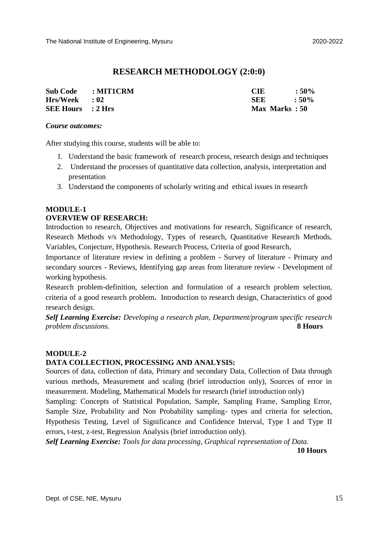### **RESEARCH METHODOLOGY (2:0:0)**

| Sub Code : MIT1CRM       | <b>CIE</b>    | $:50\%$     |
|--------------------------|---------------|-------------|
| $Hrs/Week$ : 02          | <b>SEE</b>    | $\cdot$ 50% |
| <b>SEE Hours</b> : 2 Hrs | Max Marks: 50 |             |

#### *Course outcomes:*

After studying this course, students will be able to:

- 1. Understand the basic framework of research process, research design and techniques
- 2. Understand the processes of quantitative data collection, analysis, interpretation and presentation
- 3. Understand the components of scholarly writing and ethical issues in research

## **MODULE-1**

#### **OVERVIEW OF RESEARCH:**

Introduction to research, Objectives and motivations for research, Significance of research, Research Methods v/s Methodology, Types of research, Quantitative Research Methods, Variables, Conjecture, Hypothesis. Research Process, Criteria of good Research,

Importance of literature review in defining a problem - Survey of literature - Primary and secondary sources - Reviews, Identifying gap areas from literature review - Development of working hypothesis.

Research problem-definition, selection and formulation of a research problem selection, criteria of a good research problem**.** Introduction to research design, Characteristics of good research design.

*Self Learning Exercise: Developing a research plan, Department/program specific research problem discussions.* **8 Hours**

#### **MODULE-2**

#### **DATA COLLECTION, PROCESSING AND ANALYSIS:**

Sources of data, collection of data, Primary and secondary Data, Collection of Data through various methods, Measurement and scaling (brief introduction only), Sources of error in measurement. Modeling, Mathematical Models for research (brief introduction only)

Sampling: Concepts of Statistical Population, Sample, Sampling Frame, Sampling Error, Sample Size, Probability and Non Probability sampling- types and criteria for selection, Hypothesis Testing, Level of Significance and Confidence Interval, Type I and Type II errors, t-test, z-test, Regression Analysis (brief introduction only).

*Self Learning Exercise: Tools for data processing, Graphical representation of Data.*

**10 Hours**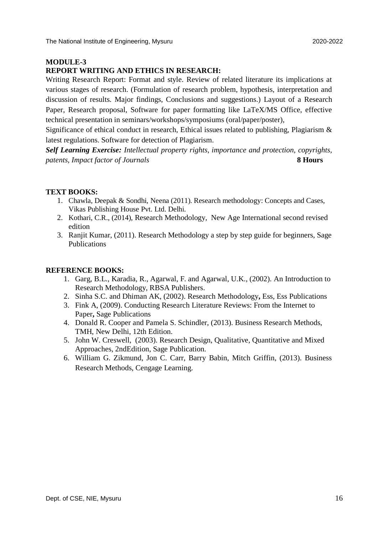#### **MODULE-3**

#### **REPORT WRITING AND ETHICS IN RESEARCH:**

Writing Research Report: Format and style. Review of related literature its implications at various stages of research. (Formulation of research problem, hypothesis, interpretation and discussion of results. Major findings, Conclusions and suggestions.) Layout of a Research Paper, Research proposal, Software for paper formatting like LaTeX/MS Office, effective technical presentation in seminars/workshops/symposiums (oral/paper/poster),

Significance of ethical conduct in research, Ethical issues related to publishing, Plagiarism & latest regulations. Software for detection of Plagiarism.

*Self Learning Exercise: Intellectual property rights, importance and protection, copyrights, patents, Impact factor of Journals* **8 Hours**

#### **TEXT BOOKS:**

- 1. Chawla, Deepak & Sondhi, Neena (2011). Research methodology: Concepts and Cases, Vikas Publishing House Pvt. Ltd. Delhi.
- 2. Kothari, C.R., (2014), Research Methodology, New Age International second revised edition
- 3. Ranjit Kumar, (2011). Research Methodology a step by step guide for beginners, Sage Publications

#### **REFERENCE BOOKS:**

- 1. Garg, B.L., Karadia, R., Agarwal, F. and Agarwal, U.K., (2002). An Introduction to Research Methodology, RBSA Publishers.
- 2. Sinha S.C. and Dhiman AK, (2002). Research Methodology**,** Ess, Ess Publications
- 3. Fink A, (2009). Conducting Research Literature Reviews: From the Internet to Paper**,** Sage Publications
- 4. Donald R. Cooper and Pamela S. Schindler, (2013). Business Research Methods, TMH, New Delhi, 12th Edition.
- 5. John W. Creswell, (2003). Research Design, Qualitative, Quantitative and Mixed Approaches, 2ndEdition, Sage Publication.
- 6. William G. Zikmund, Jon C. Carr, Barry Babin, Mitch Griffin, (2013). Business Research Methods, Cengage Learning.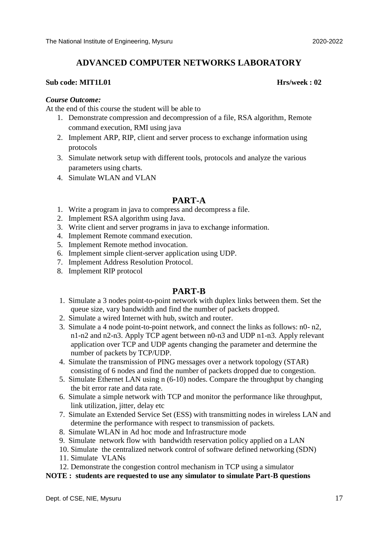#### **ADVANCED COMPUTER NETWORKS LABORATORY**

#### **Sub code: MIT1L01 Hrs/week : 02**

#### *Course Outcome:*

At the end of this course the student will be able to

- 1. Demonstrate compression and decompression of a file, RSA algorithm, Remote command execution, RMI using java
- 2. Implement ARP, RIP, client and server process to exchange information using protocols
- 3. Simulate network setup with different tools, protocols and analyze the various parameters using charts.
- 4. Simulate WLAN and VLAN

#### **PART-A**

- 1. Write a program in java to compress and decompress a file.
- 2. Implement RSA algorithm using Java.
- 3. Write client and server programs in java to exchange information.
- 4. Implement Remote command execution.
- 5. Implement Remote method invocation.
- 6. Implement simple client-server application using UDP.
- 7. Implement Address Resolution Protocol.
- 8. Implement RIP protocol

#### **PART-B**

- 1. Simulate a 3 nodes point-to-point network with duplex links between them. Set the queue size, vary bandwidth and find the number of packets dropped.
- 2. Simulate a wired Internet with hub, switch and router.
- 3. Simulate a 4 node point-to-point network, and connect the links as follows: n0- n2, n1-n2 and n2-n3. Apply TCP agent between n0-n3 and UDP n1-n3. Apply relevant application over TCP and UDP agents changing the parameter and determine the number of packets by TCP/UDP.
- 4. Simulate the transmission of PING messages over a network topology (STAR) consisting of 6 nodes and find the number of packets dropped due to congestion.
- 5. Simulate Ethernet LAN using n (6-10) nodes. Compare the throughput by changing the bit error rate and data rate.
- 6. Simulate a simple network with TCP and monitor the performance like throughput, link utilization, jitter, delay etc
- 7. Simulate an Extended Service Set (ESS) with transmitting nodes in wireless LAN and determine the performance with respect to transmission of packets.
- 8. Simulate WLAN in Ad hoc mode and Infrastructure mode
- 9. Simulate network flow with bandwidth reservation policy applied on a LAN
- 10. Simulate the centralized network control of software defined networking (SDN)
- 11. Simulate VLANs
- 12. Demonstrate the congestion control mechanism in TCP using a simulator

#### **NOTE : students are requested to use any simulator to simulate Part-B questions**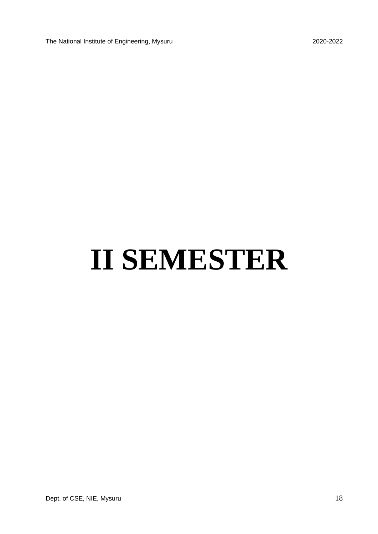The National Institute of Engineering, Mysuru 2020-2022

# **II SEMESTER**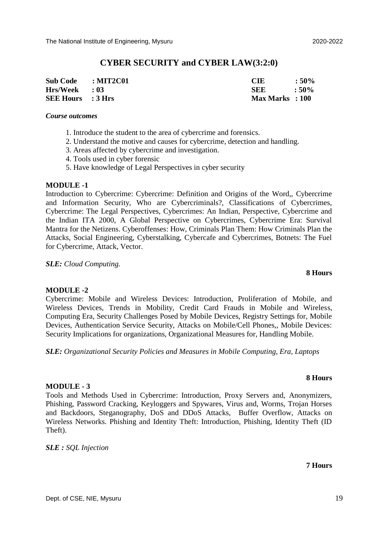#### **CYBER SECURITY and CYBER LAW(3:2:0)**

| Sub Code : MIT2C01       | <b>CIE</b>      | $:50\%$ |
|--------------------------|-----------------|---------|
| Hrs/Week : 03            | SEE.            | $:50\%$ |
| <b>SEE Hours</b> : 3 Hrs | Max Marks : 100 |         |

#### *Course outcomes*

- 1. Introduce the student to the area of cybercrime and forensics.
- 2. Understand the motive and causes for cybercrime, detection and handling.
- 3. Areas affected by cybercrime and investigation.
- 4. Tools used in cyber forensic
- 5. Have knowledge of Legal Perspectives in cyber security

#### **MODULE -1**

Introduction to Cybercrime: Cybercrime: Definition and Origins of the Word,, Cybercrime and Information Security, Who are Cybercriminals?, Classifications of Cybercrimes, Cybercrime: The Legal Perspectives, Cybercrimes: An Indian, Perspective, Cybercrime and the Indian ITA 2000, A Global Perspective on Cybercrimes, Cybercrime Era: Survival Mantra for the Netizens. Cyberoffenses: How, Criminals Plan Them: How Criminals Plan the Attacks, Social Engineering, Cyberstalking, Cybercafe and Cybercrimes, Botnets: The Fuel for Cybercrime, Attack, Vector.

*SLE: Cloud Computing.* 

#### **MODULE -2**

#### Cybercrime: Mobile and Wireless Devices: Introduction, Proliferation of Mobile, and Wireless Devices, Trends in Mobility, Credit Card Frauds in Mobile and Wireless, Computing Era, Security Challenges Posed by Mobile Devices, Registry Settings for, Mobile Devices, Authentication Service Security, Attacks on Mobile/Cell Phones,, Mobile Devices: Security Implications for organizations, Organizational Measures for, Handling Mobile.

*SLE: Organizational Security Policies and Measures in Mobile Computing, Era, Laptops* 

#### **MODULE - 3**

Tools and Methods Used in Cybercrime: Introduction, Proxy Servers and, Anonymizers, Phishing, Password Cracking, Keyloggers and Spywares, Virus and, Worms, Trojan Horses and Backdoors, Steganography, DoS and DDoS Attacks, Buffer Overflow, Attacks on Wireless Networks. Phishing and Identity Theft: Introduction, Phishing, Identity Theft (ID Theft).

*SLE : SQL Injection* 

#### **7 Hours**

**8 Hours**

**8 Hours**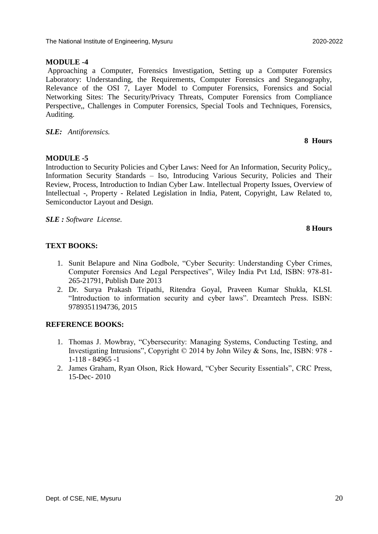#### **MODULE -4**

Approaching a Computer, Forensics Investigation, Setting up a Computer Forensics Laboratory: Understanding, the Requirements, Computer Forensics and Steganography, Relevance of the OSI 7, Layer Model to Computer Forensics, Forensics and Social Networking Sites: The Security/Privacy Threats, Computer Forensics from Compliance Perspective,, Challenges in Computer Forensics, Special Tools and Techniques, Forensics, Auditing.

#### *SLE: Antiforensics.*

#### **MODULE -5**

Introduction to Security Policies and Cyber Laws: Need for An Information, Security Policy,, Information Security Standards – Iso, Introducing Various Security, Policies and Their Review, Process, Introduction to Indian Cyber Law. Intellectual Property Issues, Overview of Intellectual -, Property - Related Legislation in India, Patent, Copyright, Law Related to, Semiconductor Layout and Design.

*SLE : Software License.* 

#### **TEXT BOOKS:**

- 1. Sunit Belapure and Nina Godbole, "Cyber Security: Understanding Cyber Crimes, Computer Forensics And Legal Perspectives", Wiley India Pvt Ltd, ISBN: 978-81- 265-21791, Publish Date 2013
- 2. Dr. Surya Prakash Tripathi, Ritendra Goyal, Praveen Kumar Shukla, KLSI. "Introduction to information security and cyber laws". Dreamtech Press. ISBN: 9789351194736, 2015

#### **REFERENCE BOOKS:**

- 1. Thomas J. Mowbray, "Cybersecurity: Managing Systems, Conducting Testing, and Investigating Intrusions", Copyright © 2014 by John Wiley & Sons, Inc, ISBN: 978 - 1-118 - 84965 -1
- 2. James Graham, Ryan Olson, Rick Howard, "Cyber Security Essentials", CRC Press, 15-Dec- 2010

## **8 Hours**

**8 Hours**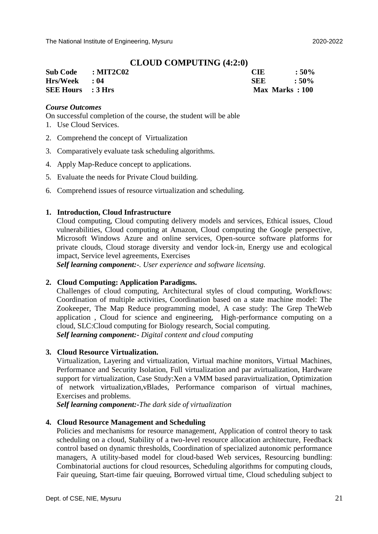#### **CLOUD COMPUTING (4:2:0)**

| Sub Code : MIT2C02       | CIE.           | $:50\%$ |
|--------------------------|----------------|---------|
| Hrs/Week : 04            | <b>SEE</b>     | $:50\%$ |
| <b>SEE Hours</b> : 3 Hrs | Max Marks: 100 |         |

#### *Course Outcomes*

On successful completion of the course, the student will be able

- 1. Use Cloud Services.
- 2. Comprehend the concept of Virtualization
- 3. Comparatively evaluate task scheduling algorithms.
- 4. Apply Map-Reduce concept to applications.
- 5. Evaluate the needs for Private Cloud building.
- 6. Comprehend issues of resource virtualization and scheduling.

#### **1. Introduction, Cloud Infrastructure**

Cloud computing, Cloud computing delivery models and services, Ethical issues, Cloud vulnerabilities, Cloud computing at Amazon, Cloud computing the Google perspective, Microsoft Windows Azure and online services, Open-source software platforms for private clouds, Cloud storage diversity and vendor lock-in, Energy use and ecological impact, Service level agreements, Exercises

*Self learning component:-. User experience and software licensing.*

#### **2. Cloud Computing: Application Paradigms.**

Challenges of cloud computing, Architectural styles of cloud computing, Workflows: Coordination of multiple activities, Coordination based on a state machine model: The Zookeeper, The Map Reduce programming model, A case study: The Grep TheWeb application , Cloud for science and engineering, High-performance computing on a cloud, SLC:Cloud computing for Biology research, Social computing. *Self learning component:- Digital content and cloud computing*

#### **3. Cloud Resource Virtualization.**

Virtualization, Layering and virtualization, Virtual machine monitors, Virtual Machines, Performance and Security Isolation, Full virtualization and par avirtualization, Hardware support for virtualization, Case Study:Xen a VMM based paravirtualization, Optimization of network virtualization,vBlades, Performance comparison of virtual machines, Exercises and problems.

*Self learning component:-The dark side of virtualization*

#### **4. Cloud Resource Management and Scheduling**

Policies and mechanisms for resource management, Application of control theory to task scheduling on a cloud, Stability of a two-level resource allocation architecture, Feedback control based on dynamic thresholds, Coordination of specialized autonomic performance managers, A utility-based model for cloud-based Web services, Resourcing bundling: Combinatorial auctions for cloud resources, Scheduling algorithms for computing clouds, Fair queuing, Start-time fair queuing, Borrowed virtual time, Cloud scheduling subject to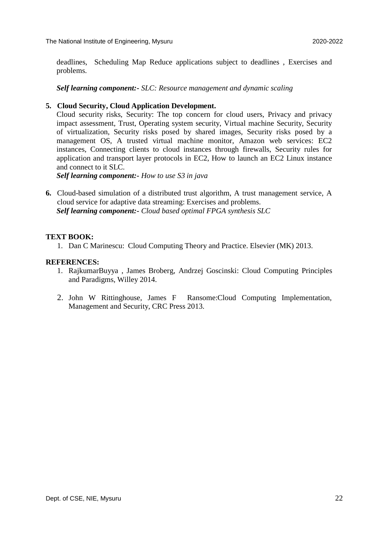deadlines, Scheduling Map Reduce applications subject to deadlines , Exercises and problems.

*Self learning component:- SLC: Resource management and dynamic scaling*

#### **5. Cloud Security, Cloud Application Development.**

Cloud security risks, Security: The top concern for cloud users, Privacy and privacy impact assessment, Trust, Operating system security, Virtual machine Security, Security of virtualization, Security risks posed by shared images, Security risks posed by a management OS, A trusted virtual machine monitor, Amazon web services: EC2 instances, Connecting clients to cloud instances through firewalls, Security rules for application and transport layer protocols in EC2, How to launch an EC2 Linux instance and connect to it SLC.

*Self learning component:- How to use S3 in java*

**6.** Cloud-based simulation of a distributed trust algorithm, A trust management service, A cloud service for adaptive data streaming: Exercises and problems. *Self learning component:- Cloud based optimal FPGA synthesis SLC*

#### **TEXT BOOK:**

1. Dan C Marinescu: Cloud Computing Theory and Practice. Elsevier (MK) 2013.

#### **REFERENCES:**

- 1. RajkumarBuyya , James Broberg, Andrzej Goscinski: Cloud Computing Principles and Paradigms, Willey 2014.
- 2. John W Rittinghouse, James F Ransome:Cloud Computing Implementation, Management and Security, CRC Press 2013.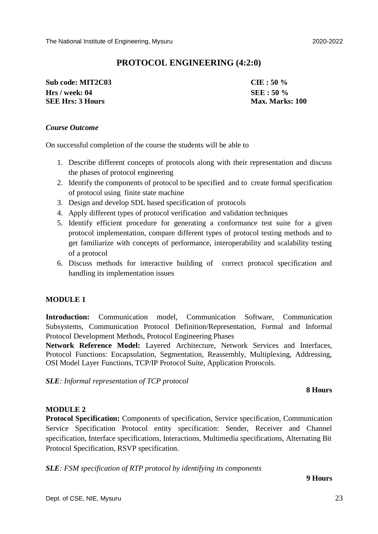**Sub code: MIT2C03 CIE : 50 % Hrs / week: 04 SEE : 50 % SEE Hrs: 3 Hours Max. Marks: 100** 

#### *Course Outcome*

On successful completion of the course the students will be able to

- 1. Describe different concepts of protocols along with their representation and discuss the phases of protocol engineering
- 2. Identify the components of protocol to be specified and to create formal specification of protocol using finite state machine
- 3. Design and develop SDL based specification of protocols
- 4. Apply different types of protocol verification and validation techniques
- 5. Identify efficient procedure for generating a conformance test suite for a given protocol implementation, compare different types of protocol testing methods and to get familiarize with concepts of performance, interoperability and scalability testing of a protocol
- 6. Discuss methods for interactive building of correct protocol specification and handling its implementation issues

#### **MODULE 1**

**Introduction:** Communication model, Communication Software, Communication Subsystems, Communication Protocol Definition/Representation, Formal and Informal Protocol Development Methods, Protocol Engineering Phases

**Network Reference Model:** Layered Architecture, Network Services and Interfaces, Protocol Functions: Encapsulation, Segmentation, Reassembly, Multiplexing, Addressing, OSI Model Layer Functions, TCP/IP Protocol Suite, Application Protocols.

*SLE: Informal representation of TCP protocol* 

#### **8 Hours**

#### **MODULE 2**

**Protocol Specification:** Components of specification, Service specification, Communication Service Specification Protocol entity specification: Sender, Receiver and Channel specification, Interface specifications, Interactions, Multimedia specifications, Alternating Bit Protocol Specification, RSVP specification.

*SLE: FSM specification of RTP protocol by identifying its components*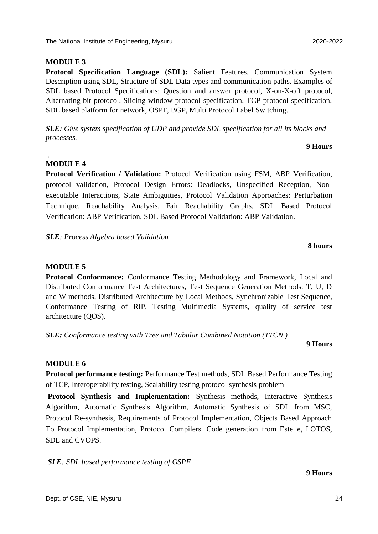#### **MODULE 3**

**Protocol Specification Language (SDL):** Salient Features. Communication System Description using SDL, Structure of SDL Data types and communication paths. Examples of SDL based Protocol Specifications: Question and answer protocol, X-on-X-off protocol, Alternating bit protocol, Sliding window protocol specification, TCP protocol specification, SDL based platform for network, OSPF, BGP, Multi Protocol Label Switching.

*SLE: Give system specification of UDP and provide SDL specification for all its blocks and processes.* 

#### **MODULE 4**

.

**Protocol Verification / Validation:** Protocol Verification using FSM, ABP Verification, protocol validation, Protocol Design Errors: Deadlocks, Unspecified Reception, Nonexecutable Interactions, State Ambiguities, Protocol Validation Approaches: Perturbation Technique, Reachability Analysis, Fair Reachability Graphs, SDL Based Protocol Verification: ABP Verification, SDL Based Protocol Validation: ABP Validation.

*SLE: Process Algebra based Validation* 

#### **MODULE 5**

**Protocol Conformance:** Conformance Testing Methodology and Framework, Local and Distributed Conformance Test Architectures, Test Sequence Generation Methods: T, U, D and W methods, Distributed Architecture by Local Methods, Synchronizable Test Sequence, Conformance Testing of RIP, Testing Multimedia Systems, quality of service test architecture (QOS).

*SLE: Conformance testing with Tree and Tabular Combined Notation (TTCN )* 

## **9 Hours**

### **MODULE 6**

**Protocol performance testing:** Performance Test methods, SDL Based Performance Testing of TCP, Interoperability testing, Scalability testing protocol synthesis problem

**Protocol Synthesis and Implementation:** Synthesis methods, Interactive Synthesis Algorithm, Automatic Synthesis Algorithm, Automatic Synthesis of SDL from MSC, Protocol Re-synthesis, Requirements of Protocol Implementation, Objects Based Approach To Protocol Implementation, Protocol Compilers. Code generation from Estelle, LOTOS, SDL and CVOPS.

*SLE: SDL based performance testing of OSPF* 

**9 Hours**

#### **8 hours**

**9 Hours**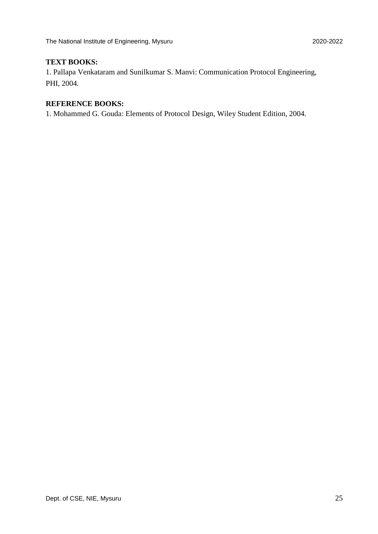#### **TEXT BOOKS:**

1. Pallapa Venkataram and Sunilkumar S. Manvi: Communication Protocol Engineering, PHI, 2004.

## **REFERENCE BOOKS:**

1. Mohammed G. Gouda: Elements of Protocol Design, Wiley Student Edition, 2004.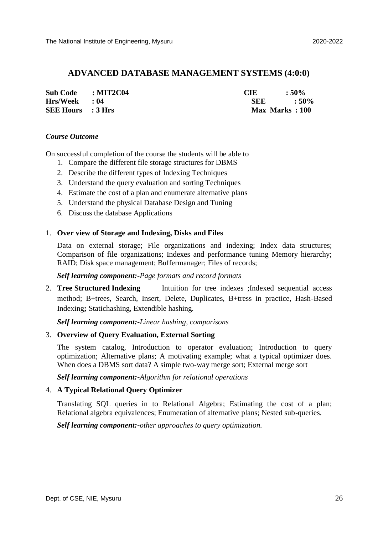#### **ADVANCED DATABASE MANAGEMENT SYSTEMS (4:0:0)**

| <b>Sub Code</b>          | $\mathbf{MIT2C04}$ | CIE            | $\cdot$ : 50%    |
|--------------------------|--------------------|----------------|------------------|
| $Hrs/Week$ : 04          |                    | <b>SEE</b>     | $\therefore$ 50% |
| <b>SEE Hours</b> : 3 Hrs |                    | Max Marks: 100 |                  |

#### *Course Outcome*

On successful completion of the course the students will be able to

- 1. Compare the different file storage structures for DBMS
- 2. Describe the different types of Indexing Techniques
- 3. Understand the query evaluation and sorting Techniques
- 4. Estimate the cost of a plan and enumerate alternative plans
- 5. Understand the physical Database Design and Tuning
- 6. Discuss the database Applications

#### 1. **Over view of Storage and Indexing, Disks and Files**

Data on external storage; File organizations and indexing; Index data structures; Comparison of file organizations; Indexes and performance tuning Memory hierarchy; RAID; Disk space management; Buffermanager; Files of records;

#### *Self learning component:-Page formats and record formats*

2. **Tree Structured Indexing** Intuition for tree indexes ;Indexed sequential access method; B+trees, Search, Insert, Delete, Duplicates, B+tress in practice, Hash-Based Indexing**;** Statichashing, Extendible hashing.

*Self learning component:-Linear hashing, comparisons*

#### 3. **Overview of Query Evaluation, External Sorting**

The system catalog, Introduction to operator evaluation; Introduction to query optimization; Alternative plans; A motivating example; what a typical optimizer does. When does a DBMS sort data? A simple two-way merge sort: External merge sort

*Self learning component:-Algorithm for relational operations*

#### 4. **A Typical Relational Query Optimizer**

Translating SQL queries in to Relational Algebra; Estimating the cost of a plan; Relational algebra equivalences; Enumeration of alternative plans; Nested sub-queries.

*Self learning component:-other approaches to query optimization.*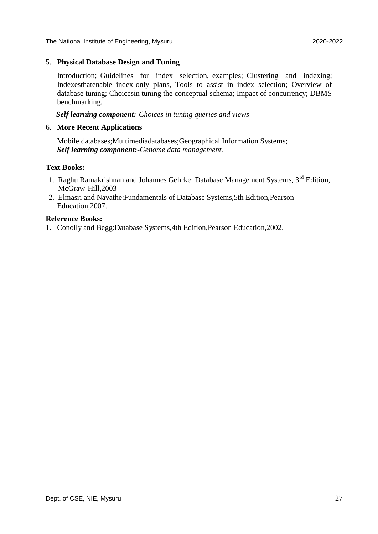The National Institute of Engineering, Mysuru 2020-2022

#### 5. **Physical Database Design and Tuning**

Introduction; Guidelines for index selection, examples; Clustering and indexing; Indexesthatenable index-only plans, Tools to assist in index selection; Overview of database tuning; Choicesin tuning the conceptual schema; Impact of concurrency; DBMS benchmarking.

*Self learning component:-Choices in tuning queries and views*

#### 6. **More Recent Applications**

Mobile databases;Multimediadatabases;Geographical Information Systems; *Self learning component:-Genome data management.*

#### **Text Books:**

- 1. Raghu Ramakrishnan and Johannes Gehrke: Database Management Systems, 3rd Edition, McGraw-Hill,2003
- 2. Elmasri and Navathe:Fundamentals of Database Systems,5th Edition,Pearson Education,2007.

#### **Reference Books:**

1. Conolly and Begg:Database Systems,4th Edition,Pearson Education,2002.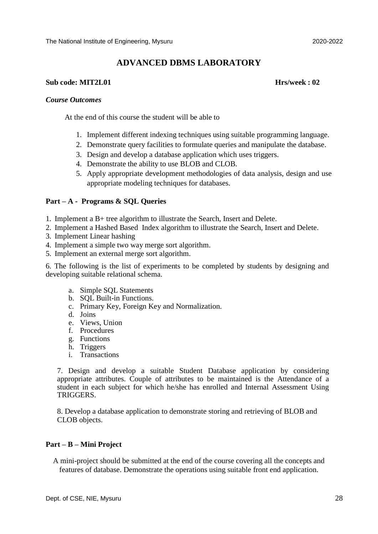## **ADVANCED DBMS LABORATORY**

#### **Sub code: MIT2L01 Hrs/week : 02**

#### *Course Outcomes*

At the end of this course the student will be able to

- 1. Implement different indexing techniques using suitable programming language.
- 2. Demonstrate query facilities to formulate queries and manipulate the database.
- 3. Design and develop a database application which uses triggers.
- 4. Demonstrate the ability to use BLOB and CLOB.
- 5. Apply appropriate development methodologies of data analysis, design and use appropriate modeling techniques for databases.

#### **Part – A - Programs & SQL Queries**

- 1. Implement a B+ tree algorithm to illustrate the Search, Insert and Delete.
- 2. Implement a Hashed Based Index algorithm to illustrate the Search, Insert and Delete.
- 3. Implement Linear hashing
- 4. Implement a simple two way merge sort algorithm.
- 5. Implement an external merge sort algorithm.

6. The following is the list of experiments to be completed by students by designing and developing suitable relational schema.

- a. Simple SQL Statements
- b. SQL Built-in Functions.
- c. Primary Key, Foreign Key and Normalization.
- d. Joins
- e. Views, Union
- f. Procedures
- g. Functions
- h. Triggers
- i. Transactions

7. Design and develop a suitable Student Database application by considering appropriate attributes. Couple of attributes to be maintained is the Attendance of a student in each subject for which he/she has enrolled and Internal Assessment Using TRIGGERS.

8. Develop a database application to demonstrate storing and retrieving of BLOB and CLOB objects.

#### **Part – B – Mini Project**

A mini-project should be submitted at the end of the course covering all the concepts and features of database. Demonstrate the operations using suitable front end application.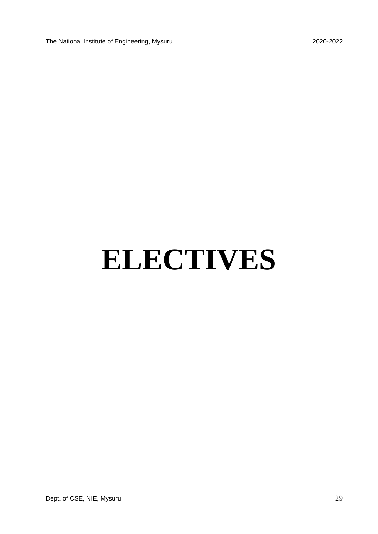The National Institute of Engineering, Mysuru 2020-2022

# **ELECTIVES**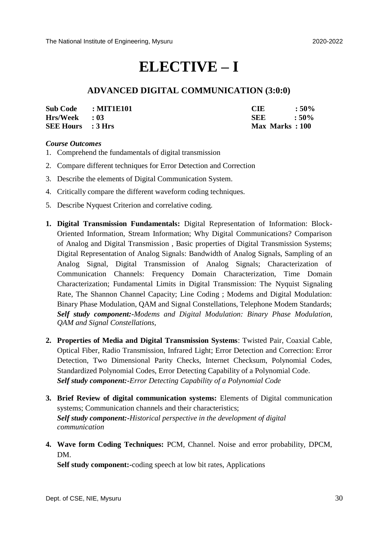## **ELECTIVE – I**

### **ADVANCED DIGITAL COMMUNICATION (3:0:0)**

| <b>Sub Code</b>          | : MIT1E101 | <b>CIE</b>     | $:50\%$ |
|--------------------------|------------|----------------|---------|
| $Hrs/Week$ : 03          |            | <b>SEE</b>     | $:50\%$ |
| <b>SEE Hours</b> : 3 Hrs |            | Max Marks: 100 |         |

#### *Course Outcomes*

- 1. Comprehend the fundamentals of digital transmission
- 2. Compare different techniques for Error Detection and Correction
- 3. Describe the elements of Digital Communication System.
- 4. Critically compare the different waveform coding techniques.
- 5. Describe Nyquest Criterion and correlative coding.
- **1. Digital Transmission Fundamentals:** Digital Representation of Information: Block-Oriented Information, Stream Information; Why Digital Communications? Comparison of Analog and Digital Transmission , Basic properties of Digital Transmission Systems; Digital Representation of Analog Signals: Bandwidth of Analog Signals, Sampling of an Analog Signal, Digital Transmission of Analog Signals; Characterization of Communication Channels: Frequency Domain Characterization, Time Domain Characterization; Fundamental Limits in Digital Transmission: The Nyquist Signaling Rate, The Shannon Channel Capacity; Line Coding ; Modems and Digital Modulation: Binary Phase Modulation, QAM and Signal Constellations, Telephone Modem Standards; *Self study component:-Modems and Digital Modulation: Binary Phase Modulation, QAM and Signal Constellations,*
- **2. Properties of Media and Digital Transmission Systems**: Twisted Pair, Coaxial Cable, Optical Fiber, Radio Transmission, Infrared Light; Error Detection and Correction: Error Detection, Two Dimensional Parity Checks, Internet Checksum, Polynomial Codes, Standardized Polynomial Codes, Error Detecting Capability of a Polynomial Code. *Self study component:-Error Detecting Capability of a Polynomial Code*
- **3. Brief Review of digital communication systems:** Elements of Digital communication systems; Communication channels and their characteristics; *Self study component:-Historical perspective in the development of digital communication*
- **4. Wave form Coding Techniques:** PCM, Channel. Noise and error probability, DPCM, DM.

**Self study component:-**coding speech at low bit rates, Applications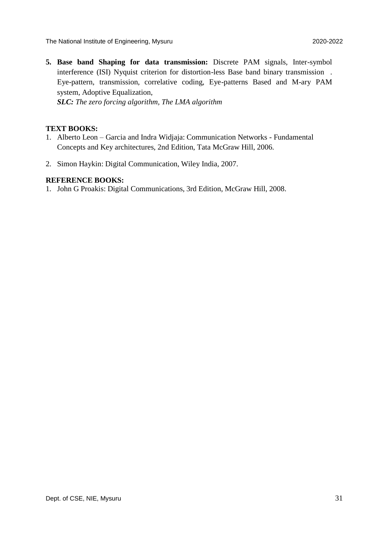The National Institute of Engineering, Mysuru 2020-2022

**5. Base band Shaping for data transmission:** Discrete PAM signals, Inter-symbol interference (ISI) Nyquist criterion for distortion-less Base band binary transmission . Eye-pattern, transmission, correlative coding, Eye-patterns Based and M-ary PAM system, Adoptive Equalization,

*SLC: The zero forcing algorithm, The LMA algorithm*

#### **TEXT BOOKS:**

- 1. Alberto Leon Garcia and Indra Widjaja: Communication Networks Fundamental Concepts and Key architectures, 2nd Edition, Tata McGraw Hill, 2006.
- 2. Simon Haykin: Digital Communication, Wiley India, 2007.

#### **REFERENCE BOOKS:**

1. John G Proakis: Digital Communications, 3rd Edition, McGraw Hill, 2008.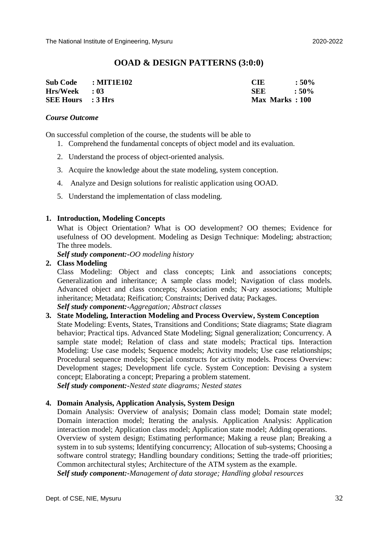#### **OOAD & DESIGN PATTERNS (3:0:0)**

| Sub Code : MIT1E102      | <b>CIE</b>     | $:50\%$ |
|--------------------------|----------------|---------|
| $Hrs/Week$ : 03          | SEE            | $:50\%$ |
| <b>SEE Hours</b> : 3 Hrs | Max Marks: 100 |         |

#### *Course Outcome*

On successful completion of the course, the students will be able to

- 1. Comprehend the fundamental concepts of object model and its evaluation.
- 2. Understand the process of object-oriented analysis.
- 3. Acquire the knowledge about the state modeling, system conception.
- 4. Analyze and Design solutions for realistic application using OOAD.
- 5. Understand the implementation of class modeling.

#### **1. Introduction, Modeling Concepts**

What is Object Orientation? What is OO development? OO themes; Evidence for usefulness of OO development. Modeling as Design Technique: Modeling; abstraction; The three models.

*Self study component:-OO modeling history*

#### **2. Class Modeling**

Class Modeling: Object and class concepts; Link and associations concepts; Generalization and inheritance; A sample class model; Navigation of class models. Advanced object and class concepts; Association ends; N-ary associations; Multiple inheritance; Metadata; Reification; Constraints; Derived data; Packages.

*Self study component:-Aggregation; Abstract classes*

#### **3. State Modeling, Interaction Modeling and Process Overview, System Conception**

State Modeling: Events, States, Transitions and Conditions; State diagrams; State diagram behavior; Practical tips. Advanced State Modeling; Signal generalization; Concurrency. A sample state model; Relation of class and state models; Practical tips. Interaction Modeling: Use case models; Sequence models; Activity models; Use case relationships; Procedural sequence models; Special constructs for activity models. Process Overview: Development stages; Development life cycle. System Conception: Devising a system concept; Elaborating a concept; Preparing a problem statement. *Self study component:-Nested state diagrams; Nested states*

#### **4. Domain Analysis, Application Analysis, System Design**

Domain Analysis: Overview of analysis; Domain class model; Domain state model; Domain interaction model; Iterating the analysis. Application Analysis: Application interaction model; Application class model; Application state model; Adding operations. Overview of system design; Estimating performance; Making a reuse plan; Breaking a system in to sub systems; Identifying concurrency; Allocation of sub-systems; Choosing a software control strategy; Handling boundary conditions; Setting the trade-off priorities; Common architectural styles; Architecture of the ATM system as the example. *Self study component:-Management of data storage; Handling global resources*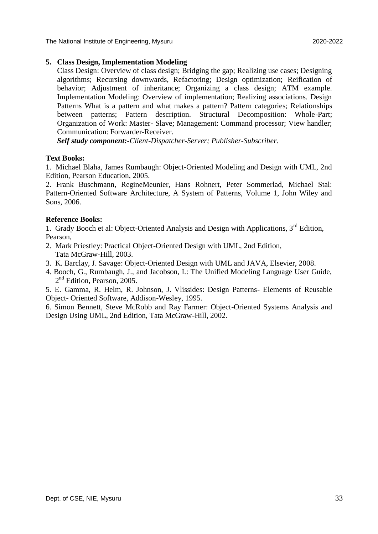The National Institute of Engineering, Mysuru 2020-2022

#### **5. Class Design, Implementation Modeling**

Class Design: Overview of class design; Bridging the gap; Realizing use cases; Designing algorithms; Recursing downwards, Refactoring; Design optimization; Reification of behavior; Adjustment of inheritance; Organizing a class design; ATM example. Implementation Modeling: Overview of implementation; Realizing associations. Design Patterns What is a pattern and what makes a pattern? Pattern categories; Relationships between patterns; Pattern description. Structural Decomposition: Whole-Part; Organization of Work: Master- Slave; Management: Command processor; View handler; Communication: Forwarder-Receiver.

*Self study component:-Client-Dispatcher-Server; Publisher-Subscriber.*

#### **Text Books:**

1. Michael Blaha, James Rumbaugh: Object-Oriented Modeling and Design with UML, 2nd Edition, Pearson Education, 2005.

2. Frank Buschmann, RegineMeunier, Hans Rohnert, Peter Sommerlad, Michael Stal: Pattern-Oriented Software Architecture, A System of Patterns, Volume 1, John Wiley and Sons, 2006.

#### **Reference Books:**

1. Grady Booch et al: Object-Oriented Analysis and Design with Applications, 3<sup>rd</sup> Edition, Pearson,

- 2. Mark Priestley: Practical Object-Oriented Design with UML, 2nd Edition, Tata McGraw-Hill, 2003.
- 3. K. Barclay, J. Savage: Object-Oriented Design with UML and JAVA, Elsevier, 2008.
- 4. Booch, G., Rumbaugh, J., and Jacobson, I.: The Unified Modeling Language User Guide, 2<sup>nd</sup> Edition, Pearson, 2005.

5. E. Gamma, R. Helm, R. Johnson, J. Vlissides: Design Patterns- Elements of Reusable Object- Oriented Software, Addison-Wesley, 1995.

6. Simon Bennett, Steve McRobb and Ray Farmer: Object-Oriented Systems Analysis and Design Using UML, 2nd Edition, Tata McGraw-Hill, 2002.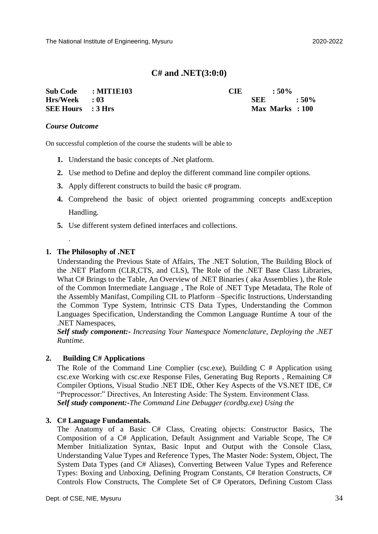### **C# and .NET(3:0:0)**

| Sub Code : MIT1E103      | <b>CIE</b> | $\cdot$ 50%     |  |
|--------------------------|------------|-----------------|--|
| $Hrs/Week$ : 03          |            | $SEE = 50\%$    |  |
| <b>SEE Hours</b> : 3 Hrs |            | Max Marks : 100 |  |

#### *Course Outcome*

On successful completion of the course the students will be able to

- **1.** Understand the basic concepts of .Net platform.
- **2.** Use method to Define and deploy the different command line compiler options.
- **3.** Apply different constructs to build the basic  $c$ # program.
- **4.** Comprehend the basic of object oriented programming concepts andException Handling.
- **5.** Use different system defined interfaces and collections.

#### **1. The Philosophy of .NET**

.

Understanding the Previous State of Affairs, The .NET Solution, The Building Block of the .NET Platform (CLR,CTS, and CLS), The Role of the .NET Base Class Libraries, What C# Brings to the Table, An Overview of .NET Binaries ( aka Assemblies ), the Role of the Common Intermediate Language , The Role of .NET Type Metadata, The Role of the Assembly Manifast, Compiling CIL to Platform –Specific Instructions, Understanding the Common Type System, Intrinsic CTS Data Types, Understanding the Common Languages Specification, Understanding the Common Language Runtime A tour of the .NET Namespaces,

*Self study component:- Increasing Your Namespace Nomenclature, Deploying the .NET Runtime.*

#### **2. Building C# Applications**

The Role of the Command Line Complier (csc.exe), Building C # Application using csc.exe Working with csc.exe Response Files, Generating Bug Reports , Remaining C# Compiler Options, Visual Studio .NET IDE, Other Key Aspects of the VS.NET IDE, C# "Preprocessor:" Directives, An Interesting Aside: The System. Environment Class. *Self study component:-The Command Line Debugger (cordbg.exe) Using the*

#### **3. C# Language Fundamentals.**

The Anatomy of a Basic C# Class, Creating objects: Constructor Basics, The Composition of a C# Application, Default Assignment and Variable Scope, The C# Member Initialization Syntax, Basic Input and Output with the Console Class, Understanding Value Types and Reference Types, The Master Node: System, Object, The System Data Types (and C# Aliases), Converting Between Value Types and Reference Types: Boxing and Unboxing, Defining Program Constants, C# Iteration Constructs, C# Controls Flow Constructs, The Complete Set of C# Operators, Defining Custom Class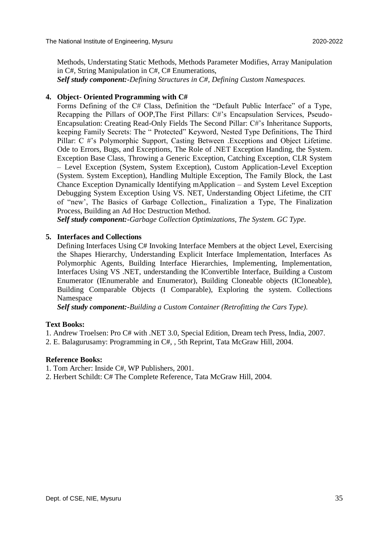Methods, Understating Static Methods, Methods Parameter Modifies, Array Manipulation in C#, String Manipulation in C#, C# Enumerations, *Self study component:-Defining Structures in C#, Defining Custom Namespaces.*

#### **4. Object- Oriented Programming with C#**

Forms Defining of the C# Class, Definition the "Default Public Interface" of a Type, Recapping the Pillars of OOP,The First Pillars: C#'s Encapsulation Services, Pseudo-Encapsulation: Creating Read-Only Fields The Second Pillar: C#'s Inheritance Supports, keeping Family Secrets: The " Protected" Keyword, Nested Type Definitions, The Third Pillar: C #'s Polymorphic Support, Casting Between .Exceptions and Object Lifetime. Ode to Errors, Bugs, and Exceptions, The Role of .NET Exception Handing, the System. Exception Base Class, Throwing a Generic Exception, Catching Exception, CLR System – Level Exception (System, System Exception), Custom Application-Level Exception (System. System Exception), Handling Multiple Exception, The Family Block, the Last Chance Exception Dynamically Identifying mApplication – and System Level Exception Debugging System Exception Using VS. NET, Understanding Object Lifetime, the CIT of "new', The Basics of Garbage Collection,, Finalization a Type, The Finalization Process, Building an Ad Hoc Destruction Method.

*Self study component:-Garbage Collection Optimizations, The System. GC Type.*

#### **5. Interfaces and Collections**

Defining Interfaces Using C# Invoking Interface Members at the object Level, Exercising the Shapes Hierarchy, Understanding Explicit Interface Implementation, Interfaces As Polymorphic Agents, Building Interface Hierarchies, Implementing, Implementation, Interfaces Using VS .NET, understanding the IConvertible Interface, Building a Custom Enumerator (IEnumerable and Enumerator), Building Cloneable objects (ICloneable), Building Comparable Objects (I Comparable), Exploring the system. Collections Namespace

*Self study component:-Building a Custom Container (Retrofitting the Cars Type).*

#### **Text Books:**

- 1. Andrew Troelsen: Pro C# with .NET 3.0, Special Edition, Dream tech Press, India, 2007.
- 2. E. Balagurusamy: Programming in C#, , 5th Reprint, Tata McGraw Hill, 2004.

#### **Reference Books:**

- 1. Tom Archer: Inside C#, WP Publishers, 2001.
- 2. Herbert Schildt: C# The Complete Reference, Tata McGraw Hill, 2004.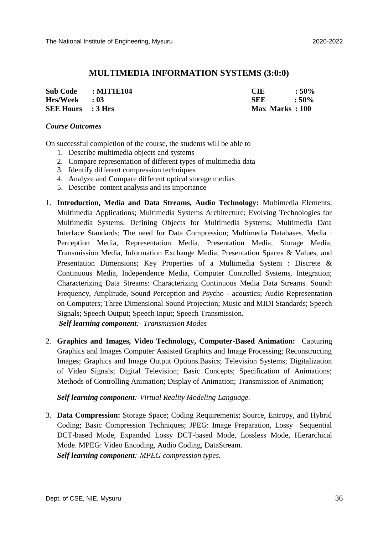#### **MULTIMEDIA INFORMATION SYSTEMS (3:0:0)**

| Sub Code : MIT1E104      | <b>CIE</b>     | $:50\%$ |
|--------------------------|----------------|---------|
| $Hrs/Week$ : 03          | <b>SEE</b>     | $:50\%$ |
| <b>SEE Hours</b> : 3 Hrs | Max Marks: 100 |         |

#### *Course Outcomes*

On successful completion of the course, the students will be able to

- 1. Describe multimedia objects and systems
- 2. Compare representation of different types of multimedia data
- 3. Identify different compression techniques
- 4. Analyze and Compare different optical storage medias
- 5. Describe content analysis and its importance
- 1. **Introduction, Media and Data Streams, Audio Technology:** Multimedia Elements; Multimedia Applications; Multimedia Systems Architecture; Evolving Technologies for Multimedia Systems; Defining Objects for Multimedia Systems; Multimedia Data Interface Standards; The need for Data Compression; Multimedia Databases. Media : Perception Media, Representation Media, Presentation Media, Storage Media, Transmission Media, Information Exchange Media, Presentation Spaces & Values, and Presentation Dimensions; Key Properties of a Multimedia System : Discrete & Continuous Media, Independence Media, Computer Controlled Systems, Integration; Characterizing Data Streams: Characterizing Continuous Media Data Streams. Sound: Frequency, Amplitude, Sound Perception and Psycho - acoustics; Audio Representation on Computers; Three Dimensional Sound Projection; Music and MIDI Standards; Speech Signals; Speech Output; Speech Input; Speech Transmission.

*Self learning component:- Transmission Modes*

2. **Graphics and Images, Video Technology, Computer-Based Animation:** Capturing Graphics and Images Computer Assisted Graphics and Image Processing; Reconstructing Images; Graphics and Image Output Options.Basics; Television Systems; Digitalization of Video Signals; Digital Television; Basic Concepts; Specification of Animations; Methods of Controlling Animation; Display of Animation; Transmission of Animation;

*Self learning component:-Virtual Reality Modeling Language.*

3. **Data Compression:** Storage Space; Coding Requirements; Source, Entropy, and Hybrid Coding; Basic Compression Techniques; JPEG: Image Preparation, Lossy Sequential DCT-based Mode, Expanded Lossy DCT-based Mode, Lossless Mode, Hierarchical Mode. MPEG: Video Encoding, Audio Coding, DataStream. *Self learning component:-MPEG compression types.*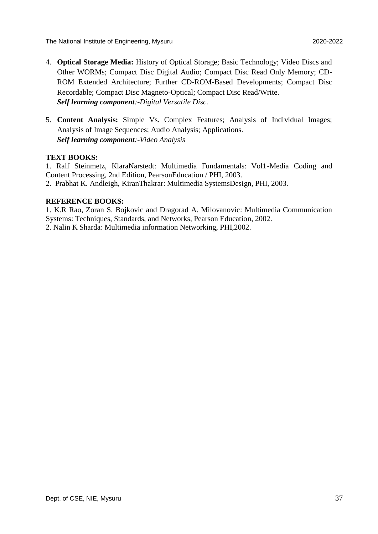- 4. **Optical Storage Media:** History of Optical Storage; Basic Technology; Video Discs and Other WORMs; Compact Disc Digital Audio; Compact Disc Read Only Memory; CD-ROM Extended Architecture; Further CD-ROM-Based Developments; Compact Disc Recordable; Compact Disc Magneto-Optical; Compact Disc Read/Write. *Self learning component:-Digital Versatile Disc.*
- 5. **Content Analysis:** Simple Vs. Complex Features; Analysis of Individual Images; Analysis of Image Sequences; Audio Analysis; Applications. *Self learning component:-Video Analysis*

#### **TEXT BOOKS:**

1. Ralf Steinmetz, KlaraNarstedt: Multimedia Fundamentals: Vol1-Media Coding and Content Processing, 2nd Edition, PearsonEducation / PHI, 2003.

2. Prabhat K. Andleigh, KiranThakrar: Multimedia SystemsDesign, PHI, 2003.

#### **REFERENCE BOOKS:**

1. K.R Rao, Zoran S. Bojkovic and Dragorad A. Milovanovic: Multimedia Communication Systems: Techniques, Standards, and Networks, Pearson Education, 2002.

2. Nalin K Sharda: Multimedia information Networking, PHI,2002.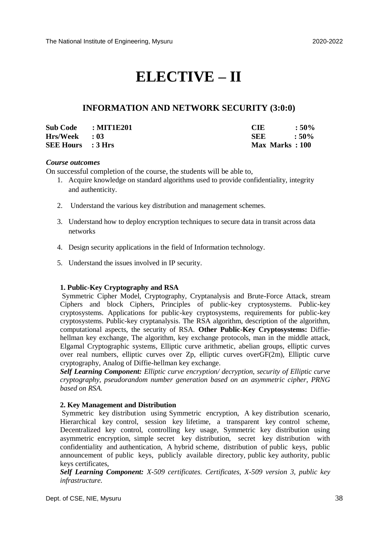# **ELECTIVE – II**

#### **INFORMATION AND NETWORK SECURITY (3:0:0)**

| Sub Code : MIT1E201      | <b>CIE</b>     | $:50\%$ |
|--------------------------|----------------|---------|
| $Hrs/Week$ : 03          | <b>SEE</b>     | $:50\%$ |
| <b>SEE Hours</b> : 3 Hrs | Max Marks: 100 |         |

#### *Course outcomes*

On successful completion of the course, the students will be able to,

- 1. Acquire knowledge on standard algorithms used to provide confidentiality, integrity and authenticity.
- 2. Understand the various key distribution and management schemes.
- 3. Understand how to deploy encryption techniques to secure data in transit across data networks
- 4. Design security applications in the field of Information technology.
- 5. Understand the issues involved in IP security.

#### **1. Public-Key Cryptography and RSA**

Symmetric Cipher Model, Cryptography, Cryptanalysis and Brute-Force Attack, stream Ciphers and block Ciphers, Principles of public-key cryptosystems. Public-key cryptosystems. Applications for public-key cryptosystems, requirements for public-key cryptosystems. Public-key cryptanalysis. The RSA algorithm, description of the algorithm, computational aspects, the security of RSA. **Other Public-Key Cryptosystems:** Diffiehellman key exchange. The algorithm, key exchange protocols, man in the middle attack, Elgamal Cryptographic systems, Elliptic curve arithmetic, abelian groups, elliptic curves over real numbers, elliptic curves over Zp, elliptic curves overGF(2m), Elliptic curve cryptography, Analog of Diffie-hellman key exchange.

*Self Learning Component: Elliptic curve encryption/ decryption, security of Elliptic curve cryptography, pseudorandom number generation based on an asymmetric cipher, PRNG based on RSA.*

#### **2. Key Management and Distribution**

Symmetric key distribution using Symmetric encryption, A key distribution scenario, Hierarchical key control, session key lifetime, a transparent key control scheme, Decentralized key control, controlling key usage, Symmetric key distribution using asymmetric encryption, simple secret key distribution, secret key distribution with confidentiality and authentication, A hybrid scheme, distribution of public keys, public announcement of public keys, publicly available directory, public key authority, public keys certificates,

*Self Learning Component: X-509 certificates. Certificates, X-509 version 3, public key infrastructure.*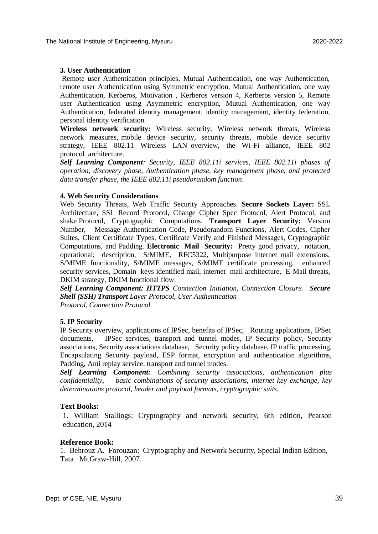#### **3. User Authentication**

Remote user Authentication principles, Mutual Authentication, one way Authentication, remote user Authentication using Symmetric encryption, Mutual Authentication, one way Authentication, Kerberos, Motivation , Kerberos version 4, Kerberos version 5, Remote user Authentication using Asymmetric encryption, Mutual Authentication, one way Authentication, federated identity management, identity management, identity federation, personal identity verification.

**Wireless network security:** Wireless security, Wireless network threats, Wireless network measures, mobile device security, security threats, mobile device security strategy, IEEE 802.11 Wireless LAN overview, the Wi-Fi alliance, IEEE 802 protocol architecture.

*Self Learning Component: Security, IEEE 802.11i services, IEEE 802.11i phases of operation, discovery phase, Authentication phase, key management phase, and protected data transfer phase, the IEEE 802.11i pseudorandom function*.

#### **4. Web Security Considerations**

Web Security Threats, Web Traffic Security Approaches. **Secure Sockets Layer:** SSL Architecture, SSL Record Protocol, Change Cipher Spec Protocol, Alert Protocol, and shake Protocol, Cryptographic Computations. **Transport Layer Security:** Version Number, Message Authentication Code, Pseudorandom Functions, Alert Codes, Cipher Suites, Client Certificate Types, Certificate Verify and Finished Messages, Cryptographic Computations, and Padding. **Electronic Mail Security:** Pretty good privacy, notation, operational; description, S/MIME, RFC5322, Multipurpose internet mail extensions, S/MIME functionality, S/MIME messages, S/MIME certificate processing, enhanced security services, Domain keys identified mail, internet mail architecture, E-Mail threats, DKIM strategy, DKIM functional flow.

*Self Learning Component: HTTPS Connection Initiation, Connection Closure. Secure Shell (SSH) Transport Layer Protocol, User Authentication Protocol, Connection Protocol.*

#### **5. IP Security**

IP Security overview, applications of IPSec, benefits of IPSec, Routing applications, IPSec documents, IPSec services, transport and tunnel modes, IP Security policy, Security associations, Security associations database, Security policy database, IP traffic processing, Encapsulating Security payload, ESP format, encryption and authentication algorithms, Padding, Anti replay service, transport and tunnel modes.

*Self Learning Component: Combining security associations, authentication plus confidentiality, basic combinations of security associations, internet key exchange, key determinations protocol, header and payload formats, cryptographic suits.* 

#### **Text Books:**

1. William Stallings: Cryptography and network security, 6th edition, Pearson education, 2014

#### **Reference Book:**

1. Behrouz A. Forouzan: Cryptography and Network Security, Special Indian Edition, Tata McGraw-Hill, 2007.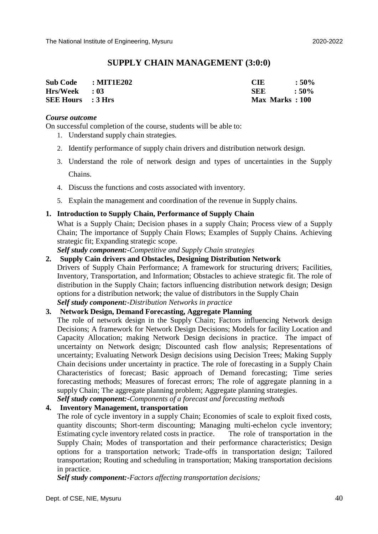### **SUPPLY CHAIN MANAGEMENT (3:0:0)**

| Sub Code : MIT1E202      | <b>CIE</b>     | $:50\%$       |
|--------------------------|----------------|---------------|
| $Hrs/Week$ : 03          | <b>SEE</b>     | $\cdot$ : 50% |
| <b>SEE Hours</b> : 3 Hrs | Max Marks: 100 |               |

#### *Course outcome*

On successful completion of the course, students will be able to:

- 1. Understand supply chain strategies.
- 2. Identify performance of supply chain drivers and distribution network design.
- 3. Understand the role of network design and types of uncertainties in the Supply Chains.
- 4. Discuss the functions and costs associated with inventory.
- 5. Explain the management and coordination of the revenue in Supply chains.

#### **1. Introduction to Supply Chain, Performance of Supply Chain**

What is a Supply Chain; Decision phases in a supply Chain; Process view of a Supply Chain; The importance of Supply Chain Flows; Examples of Supply Chains. Achieving strategic fit; Expanding strategic scope.

*Self study component:-Competitive and Supply Chain strategies*

#### **2. Supply Cain drivers and Obstacles, Designing Distribution Network**

Drivers of Supply Chain Performance; A framework for structuring drivers; Facilities, Inventory, Transportation, and Information; Obstacles to achieve strategic fit. The role of distribution in the Supply Chain; factors influencing distribution network design; Design options for a distribution network; the value of distributors in the Supply Chain *Self study component:-Distribution Networks in practice*

#### **3. Network Design, Demand Forecasting, Aggregate Planning**

The role of network design in the Supply Chain; Factors influencing Network design Decisions; A framework for Network Design Decisions; Models for facility Location and Capacity Allocation; making Network Design decisions in practice. The impact of uncertainty on Network design; Discounted cash flow analysis; Representations of uncertainty; Evaluating Network Design decisions using Decision Trees; Making Supply Chain decisions under uncertainty in practice. The role of forecasting in a Supply Chain Characteristics of forecast; Basic approach of Demand forecasting; Time series forecasting methods; Measures of forecast errors; The role of aggregate planning in a supply Chain; The aggregate planning problem; Aggregate planning strategies. *Self study component:-Components of a forecast and forecasting methods*

#### **4. Inventory Management, transportation**

The role of cycle inventory in a supply Chain; Economies of scale to exploit fixed costs, quantity discounts; Short-term discounting; Managing multi-echelon cycle inventory; Estimating cycle inventory related costs in practice. The role of transportation in the Supply Chain; Modes of transportation and their performance characteristics; Design options for a transportation network; Trade-offs in transportation design; Tailored transportation; Routing and scheduling in transportation; Making transportation decisions in practice.

*Self study component:-Factors affecting transportation decisions;*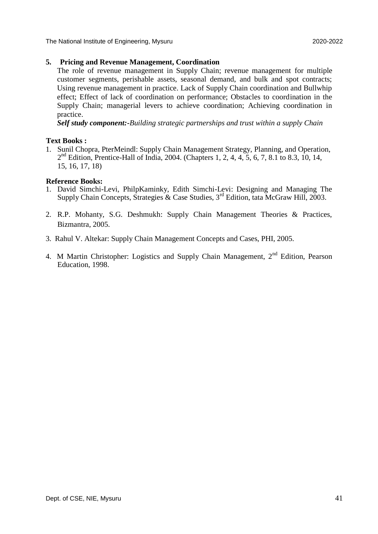The National Institute of Engineering, Mysuru 2020-2022

#### **5. Pricing and Revenue Management, Coordination**

The role of revenue management in Supply Chain; revenue management for multiple customer segments, perishable assets, seasonal demand, and bulk and spot contracts; Using revenue management in practice. Lack of Supply Chain coordination and Bullwhip effect; Effect of lack of coordination on performance; Obstacles to coordination in the Supply Chain; managerial levers to achieve coordination; Achieving coordination in practice.

*Self study component:-Building strategic partnerships and trust within a supply Chain*

#### **Text Books :**

1. Sunil Chopra, PterMeindl: Supply Chain Management Strategy, Planning, and Operation, 2<sup>nd</sup> Edition, Prentice-Hall of India, 2004. (Chapters 1, 2, 4, 4, 5, 6, 7, 8.1 to 8.3, 10, 14, 15, 16, 17, 18)

#### **Reference Books:**

- 1. David Simchi-Levi, PhilpKaminky, Edith Simchi-Levi: Designing and Managing The Supply Chain Concepts, Strategies & Case Studies,  $3<sup>rd</sup>$  Edition, tata McGraw Hill, 2003.
- 2. R.P. Mohanty, S.G. Deshmukh: Supply Chain Management Theories & Practices, Bizmantra, 2005.
- 3. Rahul V. Altekar: Supply Chain Management Concepts and Cases, PHI, 2005.
- 4. M Martin Christopher: Logistics and Supply Chain Management,  $2<sup>nd</sup>$  Edition, Pearson Education, 1998.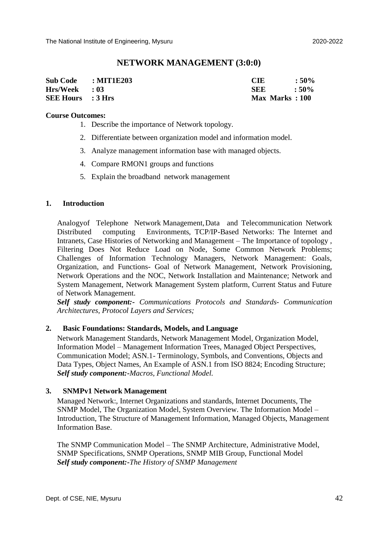#### **NETWORK MANAGEMENT (3:0:0)**

| Sub Code : MIT1E203      | CIE            | $:50\%$       |
|--------------------------|----------------|---------------|
| $Hrs/Week$ : 03          | SEE            | $\cdot$ : 50% |
| <b>SEE Hours</b> : 3 Hrs | Max Marks: 100 |               |

#### **Course Outcomes:**

- 1. Describe the importance of Network topology.
- 2. Differentiate between organization model and information model.
- 3. Analyze management information base with managed objects.
- 4. Compare RMON1 groups and functions
- 5. Explain the broadband network management

#### **1. Introduction**

Analogyof Telephone Network Management,Data and Telecommunication Network Distributed computing Environments, TCP/IP-Based Networks: The Internet and Intranets, Case Histories of Networking and Management – The Importance of topology , Filtering Does Not Reduce Load on Node, Some Common Network Problems; Challenges of Information Technology Managers, Network Management: Goals, Organization, and Functions- Goal of Network Management, Network Provisioning, Network Operations and the NOC, Network Installation and Maintenance; Network and System Management, Network Management System platform, Current Status and Future of Network Management.

*Self study component:- Communications Protocols and Standards- Communication Architectures, Protocol Layers and Services;*

#### **2. Basic Foundations: Standards, Models, and Language**

Network Management Standards, Network Management Model, Organization Model, Information Model – Management Information Trees, Managed Object Perspectives, Communication Model; ASN.1- Terminology, Symbols, and Conventions, Objects and Data Types, Object Names, An Example of ASN.1 from ISO 8824; Encoding Structure; *Self study component:-Macros, Functional Model.*

#### **3. SNMPv1 Network Management**

Managed Network:, Internet Organizations and standards, Internet Documents, The SNMP Model, The Organization Model, System Overview. The Information Model – Introduction, The Structure of Management Information, Managed Objects, Management Information Base.

The SNMP Communication Model – The SNMP Architecture, Administrative Model, SNMP Specifications, SNMP Operations, SNMP MIB Group, Functional Model *Self study component:-The History of SNMP Management*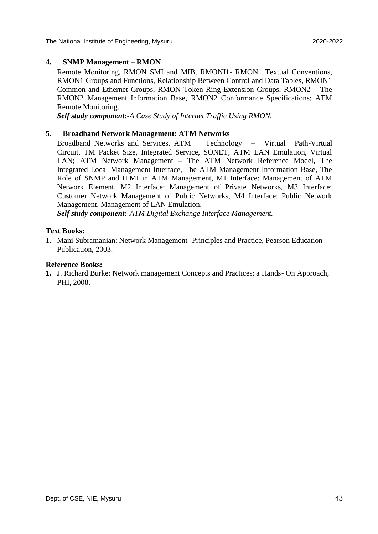The National Institute of Engineering, Mysuru 2020-2022

#### **4. SNMP Management – RMON**

Remote Monitoring, RMON SMI and MIB, RMONI1- RMON1 Textual Conventions, RMON1 Groups and Functions, Relationship Between Control and Data Tables, RMON1 Common and Ethernet Groups, RMON Token Ring Extension Groups, RMON2 – The RMON2 Management Information Base, RMON2 Conformance Specifications; ATM Remote Monitoring.

*Self study component:-A Case Study of Internet Traffic Using RMON.*

#### **5. Broadband Network Management: ATM Networks**

Broadband Networks and Services, ATM Technology – Virtual Path-Virtual Circuit, TM Packet Size, Integrated Service, SONET, ATM LAN Emulation, Virtual LAN; ATM Network Management – The ATM Network Reference Model, The Integrated Local Management Interface, The ATM Management Information Base, The Role of SNMP and ILMI in ATM Management, M1 Interface: Management of ATM Network Element, M2 Interface: Management of Private Networks, M3 Interface: Customer Network Management of Public Networks, M4 Interface: Public Network Management, Management of LAN Emulation,

*Self study component:-ATM Digital Exchange Interface Management.*

#### **Text Books:**

1. Mani Subramanian: Network Management- Principles and Practice, Pearson Education Publication, 2003.

#### **Reference Books:**

**1.** J. Richard Burke: Network management Concepts and Practices: a Hands- On Approach, PHI, 2008.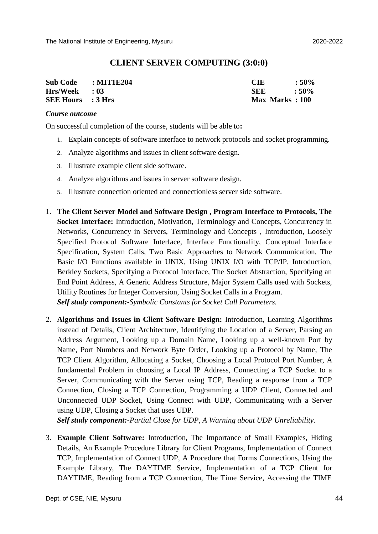#### **CLIENT SERVER COMPUTING (3:0:0)**

| Sub Code : MIT1E204      | CIE.                  | $:50\%$       |
|--------------------------|-----------------------|---------------|
| $Hrs/Week$ : 03          | SEE.                  | $\cdot$ : 50% |
| <b>SEE Hours</b> : 3 Hrs | <b>Max Marks: 100</b> |               |

#### *Course outcome*

On successful completion of the course, students will be able to**:**

- 1. Explain concepts of software interface to network protocols and socket programming.
- 2. Analyze algorithms and issues in client software design.
- 3. Illustrate example client side software.
- 4. Analyze algorithms and issues in server software design.
- 5. Illustrate connection oriented and connectionless server side software.
- 1. **The Client Server Model and Software Design , Program Interface to Protocols, The Socket Interface:** Introduction, Motivation, Terminology and Concepts, Concurrency in Networks, Concurrency in Servers, Terminology and Concepts , Introduction, Loosely Specified Protocol Software Interface, Interface Functionality, Conceptual Interface Specification, System Calls, Two Basic Approaches to Network Communication, The Basic I/O Functions available in UNIX, Using UNIX I/O with TCP/IP. Introduction, Berkley Sockets, Specifying a Protocol Interface, The Socket Abstraction, Specifying an End Point Address, A Generic Address Structure, Major System Calls used with Sockets, Utility Routines for Integer Conversion, Using Socket Calls in a Program. *Self study component:-Symbolic Constants for Socket Call Parameters.*
- 2. **Algorithms and Issues in Client Software Design:** Introduction, Learning Algorithms instead of Details, Client Architecture, Identifying the Location of a Server, Parsing an Address Argument, Looking up a Domain Name, Looking up a well-known Port by Name, Port Numbers and Network Byte Order, Looking up a Protocol by Name, The TCP Client Algorithm, Allocating a Socket, Choosing a Local Protocol Port Number, A fundamental Problem in choosing a Local IP Address, Connecting a TCP Socket to a Server, Communicating with the Server using TCP, Reading a response from a TCP Connection, Closing a TCP Connection, Programming a UDP Client, Connected and Unconnected UDP Socket, Using Connect with UDP, Communicating with a Server using UDP, Closing a Socket that uses UDP.

*Self study component:-Partial Close for UDP, A Warning about UDP Unreliability.*

3. **Example Client Software:** Introduction, The Importance of Small Examples, Hiding Details, An Example Procedure Library for Client Programs, Implementation of Connect TCP, Implementation of Connect UDP, A Procedure that Forms Connections, Using the Example Library, The DAYTIME Service, Implementation of a TCP Client for DAYTIME, Reading from a TCP Connection, The Time Service, Accessing the TIME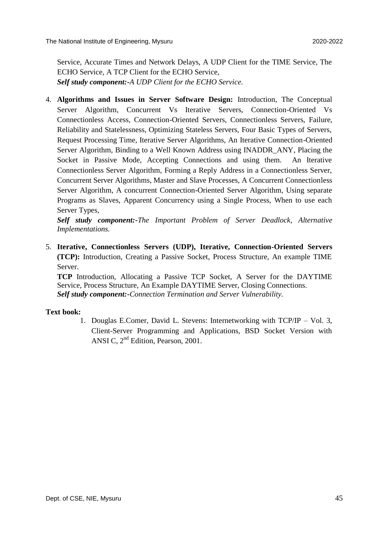Service, Accurate Times and Network Delays, A UDP Client for the TIME Service, The ECHO Service, A TCP Client for the ECHO Service, *Self study component:-A UDP Client for the ECHO Service.*

4. **Algorithms and Issues in Server Software Design:** Introduction, The Conceptual Server Algorithm, Concurrent Vs Iterative Servers, Connection-Oriented Vs Connectionless Access, Connection-Oriented Servers, Connectionless Servers, Failure, Reliability and Statelessness, Optimizing Stateless Servers, Four Basic Types of Servers, Request Processing Time, Iterative Server Algorithms, An Iterative Connection-Oriented Server Algorithm, Binding to a Well Known Address using INADDR\_ANY, Placing the Socket in Passive Mode, Accepting Connections and using them. An Iterative Connectionless Server Algorithm, Forming a Reply Address in a Connectionless Server, Concurrent Server Algorithms, Master and Slave Processes, A Concurrent Connectionless Server Algorithm, A concurrent Connection-Oriented Server Algorithm, Using separate Programs as Slaves, Apparent Concurrency using a Single Process, When to use each Server Types,

*Self study component:-The Important Problem of Server Deadlock, Alternative Implementations.*

5. **Iterative, Connectionless Servers (UDP), Iterative, Connection-Oriented Servers (TCP):** Introduction, Creating a Passive Socket, Process Structure, An example TIME Server.

**TCP** Introduction, Allocating a Passive TCP Socket, A Server for the DAYTIME Service, Process Structure, An Example DAYTIME Server, Closing Connections. *Self study component:-Connection Termination and Server Vulnerability.*

#### **Text book:**

1. Douglas E.Comer, David L. Stevens: Internetworking with TCP/IP – Vol. 3, Client-Server Programming and Applications, BSD Socket Version with ANSI C, 2nd Edition, Pearson, 2001.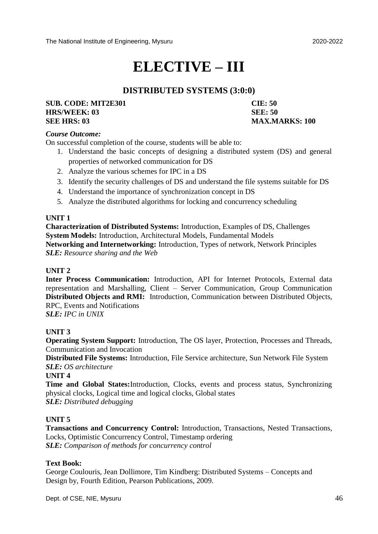# **ELECTIVE – III**

## **DISTRIBUTED SYSTEMS (3:0:0)**

#### **SUB. CODE: MIT2E301 CIE: 50 HRS/WEEK: 03 SEE: 50 SEE HRS: 03 MAX.MARKS: 100**

#### *Course Outcome:*

On successful completion of the course, students will be able to:

- 1. Understand the basic concepts of designing a distributed system (DS) and general properties of networked communication for DS
- 2. Analyze the various schemes for IPC in a DS
- 3. Identify the security challenges of DS and understand the file systems suitable for DS
- 4. Understand the importance of synchronization concept in DS
- 5. Analyze the distributed algorithms for locking and concurrency scheduling

#### **UNIT 1**

**Characterization of Distributed Systems:** Introduction, Examples of DS, Challenges **System Models:** Introduction, Architectural Models, Fundamental Models **Networking and Internetworking:** Introduction, Types of network, Network Principles *SLE: Resource sharing and the Web*

#### **UNIT 2**

**Inter Process Communication:** Introduction, API for Internet Protocols, External data representation and Marshalling, Client – Server Communication, Group Communication **Distributed Objects and RMI:** Introduction, Communication between Distributed Objects, RPC, Events and Notifications

*SLE: IPC in UNIX*

#### **UNIT 3**

**Operating System Support:** Introduction, The OS layer, Protection, Processes and Threads, Communication and Invocation

**Distributed File Systems:** Introduction, File Service architecture, Sun Network File System *SLE: OS architecture* 

**UNIT 4** 

**Time and Global States:**Introduction, Clocks, events and process status, Synchronizing physical clocks, Logical time and logical clocks, Global states *SLE: Distributed debugging*

#### **UNIT 5**

**Transactions and Concurrency Control:** Introduction, Transactions, Nested Transactions, Locks, Optimistic Concurrency Control, Timestamp ordering *SLE: Comparison of methods for concurrency control*

#### **Text Book:**

George Coulouris, Jean Dollimore, Tim Kindberg: Distributed Systems – Concepts and Design by, Fourth Edition, Pearson Publications, 2009.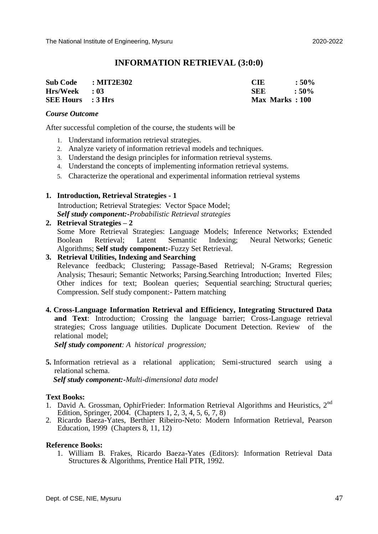#### **INFORMATION RETRIEVAL (3:0:0)**

| Sub Code : MIT2E302      | CIE                   | $:50\%$ |
|--------------------------|-----------------------|---------|
| $Hrs/Week$ : 03          | <b>SEE</b>            | $:50\%$ |
| <b>SEE Hours</b> : 3 Hrs | <b>Max Marks: 100</b> |         |

#### *Course Outcome*

After successful completion of the course, the students will be

- 1. Understand information retrieval strategies.
- 2. Analyze variety of information retrieval models and techniques.
- 3. Understand the design principles for information retrieval systems.
- 4. Understand the concepts of implementing information retrieval systems.
- 5. Characterize the operational and experimental information retrieval systems

#### **1. Introduction, Retrieval Strategies - 1**

 Introduction; Retrieval Strategies: Vector Space Model; *Self study component:-Probabilistic Retrieval strategies*

#### **2. Retrieval Strategies – 2**

Some More Retrieval Strategies: Language Models; Inference Networks; Extended Boolean Retrieval; Latent Semantic Indexing; Neural Networks; Genetic Algorithms; **Self study component:-**Fuzzy Set Retrieval.

#### **3. Retrieval Utilities, Indexing and Searching**

Relevance feedback; Clustering; Passage-Based Retrieval; N-Grams; Regression Analysis; Thesauri; Semantic Networks; Parsing.Searching Introduction; Inverted Files; Other indices for text; Boolean queries; Sequential searching; Structural queries; Compression. Self study component:- Pattern matching

**4. Cross-Language Information Retrieval and Efficiency, Integrating Structured Data and Text**: Introduction; Crossing the language barrier; Cross-Language retrieval strategies; Cross language utilities. Duplicate Document Detection. Review of the relational model;

*Self study component: A historical progression;* 

**5.** Information retrieval as a relational application; Semi-structured search using a relational schema.

*Self study component:-Multi-dimensional data model*

#### **Text Books:**

- 1. David A. Grossman, OphirFrieder: Information Retrieval Algorithms and Heuristics, 2<sup>nd</sup> Edition, Springer, 2004. (Chapters 1, 2, 3, 4, 5, 6, 7, 8)
- 2. Ricardo Baeza-Yates, Berthier Ribeiro-Neto: Modern Information Retrieval, Pearson Education, 1999 (Chapters 8, 11, 12)

#### **Reference Books:**

1. William B. Frakes, Ricardo Baeza-Yates (Editors): Information Retrieval Data Structures & Algorithms, Prentice Hall PTR, 1992.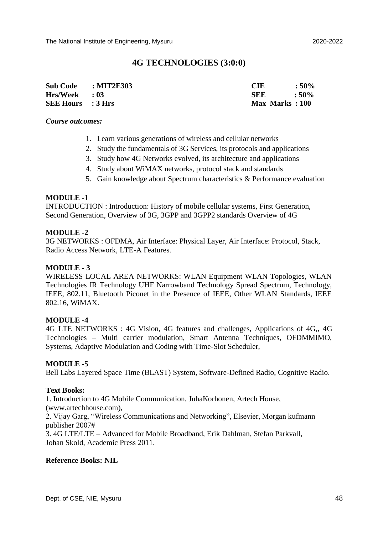#### **4G TECHNOLOGIES (3:0:0)**

| <b>Sub Code</b>          | : MIT2E303 | CIE            | $:50\%$       |
|--------------------------|------------|----------------|---------------|
| $Hrs/Week$ : 03          |            | <b>SEE</b>     | $\cdot$ : 50% |
| <b>SEE Hours</b> : 3 Hrs |            | Max Marks: 100 |               |

#### *Course outcomes:*

- 1. Learn various generations of wireless and cellular networks
- 2. Study the fundamentals of 3G Services, its protocols and applications
- 3. Study how 4G Networks evolved, its architecture and applications
- 4. Study about WiMAX networks, protocol stack and standards
- 5. Gain knowledge about Spectrum characteristics & Performance evaluation

#### **MODULE -1**

INTRODUCTION : Introduction: History of mobile cellular systems, First Generation, Second Generation, Overview of 3G, 3GPP and 3GPP2 standards Overview of 4G

#### **MODULE -2**

3G NETWORKS : OFDMA, Air Interface: Physical Layer, Air Interface: Protocol, Stack, Radio Access Network, LTE-A Features.

#### **MODULE - 3**

WIRELESS LOCAL AREA NETWORKS: WLAN Equipment WLAN Topologies, WLAN Technologies IR Technology UHF Narrowband Technology Spread Spectrum, Technology, IEEE, 802.11, Bluetooth Piconet in the Presence of IEEE, Other WLAN Standards, IEEE 802.16, WiMAX.

#### **MODULE -4**

4G LTE NETWORKS : 4G Vision, 4G features and challenges, Applications of 4G,, 4G Technologies – Multi carrier modulation, Smart Antenna Techniques, OFDMMIMO, Systems, Adaptive Modulation and Coding with Time-Slot Scheduler,

#### **MODULE -5**

Bell Labs Layered Space Time (BLAST) System, Software-Defined Radio, Cognitive Radio.

#### **Text Books:**

1. Introduction to 4G Mobile Communication, JuhaKorhonen, Artech House, (www.artechhouse.com),

2. Vijay Garg, "Wireless Communications and Networking", Elsevier, Morgan kufmann publisher 2007#

3. 4G LTE/LTE – Advanced for Mobile Broadband, Erik Dahlman, Stefan Parkvall, Johan Skold, Academic Press 2011.

#### **Reference Books: NIL**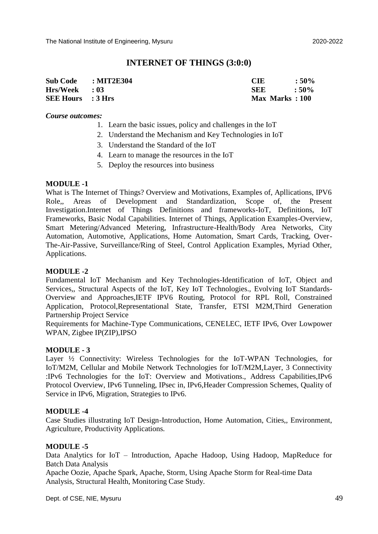#### **INTERNET OF THINGS (3:0:0)**

| <b>Sub Code</b>          | : MIT2E304 | <b>CIE</b>     | $:50\%$ |
|--------------------------|------------|----------------|---------|
| $Hrs/Week$ : 03          |            | SEE            | $:50\%$ |
| <b>SEE Hours</b> : 3 Hrs |            | Max Marks: 100 |         |

*Course outcomes:*

- 1. Learn the basic issues, policy and challenges in the IoT
- 2. Understand the Mechanism and Key Technologies in IoT
- 3. Understand the Standard of the IoT
- 4. Learn to manage the resources in the IoT
- 5. Deploy the resources into business

#### **MODULE -1**

What is The Internet of Things? Overview and Motivations, Examples of, Apllications, IPV6 Role,, Areas of Development and Standardization, Scope of, the Present Investigation.Internet of Things Definitions and frameworks-IoT, Definitions, IoT Frameworks, Basic Nodal Capabilities. Internet of Things, Application Examples-Overview, Smart Metering/Advanced Metering, Infrastructure-Health/Body Area Networks, City Automation, Automotive, Applications, Home Automation, Smart Cards, Tracking, Over-The-Air-Passive, Surveillance/Ring of Steel, Control Application Examples, Myriad Other, Applications.

#### **MODULE -2**

Fundamental IoT Mechanism and Key Technologies-Identification of IoT, Object and Services,, Structural Aspects of the IoT, Key IoT Technologies., Evolving IoT Standards-Overview and Approaches,IETF IPV6 Routing, Protocol for RPL Roll, Constrained Application, Protocol,Representational State, Transfer, ETSI M2M,Third Generation Partnership Project Service

Requirements for Machine-Type Communications, CENELEC, IETF IPv6, Over Lowpower WPAN, Zigbee IP(ZIP),IPSO

#### **MODULE - 3**

Layer <sup>1</sup>/<sub>2</sub> Connectivity: Wireless Technologies for the IoT-WPAN Technologies, for IoT/M2M, Cellular and Mobile Network Technologies for IoT/M2M,Layer, 3 Connectivity :IPv6 Technologies for the IoT: Overview and Motivations., Address Capabilities,IPv6 Protocol Overview, IPv6 Tunneling, IPsec in, IPv6,Header Compression Schemes, Quality of Service in IPv6, Migration, Strategies to IPv6.

#### **MODULE -4**

Case Studies illustrating IoT Design-Introduction, Home Automation, Cities,, Environment, Agriculture, Productivity Applications.

#### **MODULE -5**

Data Analytics for IoT – Introduction, Apache Hadoop, Using Hadoop, MapReduce for Batch Data Analysis

Apache Oozie, Apache Spark, Apache, Storm, Using Apache Storm for Real-time Data Analysis, Structural Health, Monitoring Case Study.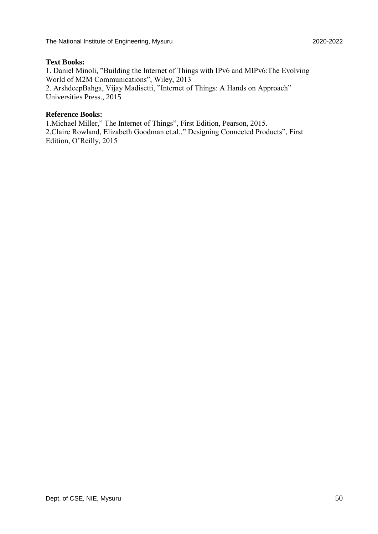#### **Text Books:**

1. Daniel Minoli, "Building the Internet of Things with IPv6 and MIPv6:The Evolving World of M2M Communications", Wiley, 2013 2. ArshdeepBahga, Vijay Madisetti, "Internet of Things: A Hands on Approach" Universities Press., 2015

#### **Reference Books:**

1.Michael Miller," The Internet of Things", First Edition, Pearson, 2015. 2.Claire Rowland, Elizabeth Goodman et.al.," Designing Connected Products", First Edition, O'Reilly, 2015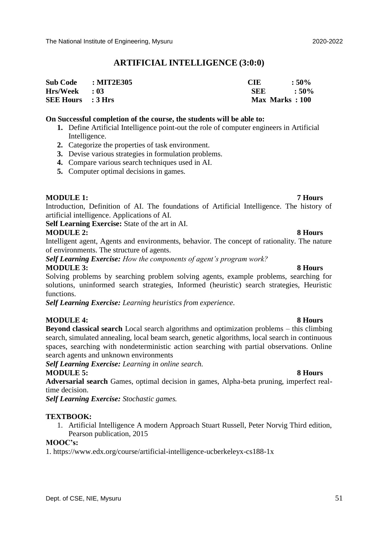#### **ARTIFICIAL INTELLIGENCE (3:0:0)**

| $\text{Sub Code}$ : MIT2E305 | CIE            | $:50\%$       |
|------------------------------|----------------|---------------|
| Hrs/Week : 03                | SEE.           | $\cdot$ : 50% |
| <b>SEE Hours</b> : 3 Hrs     | Max Marks: 100 |               |

#### **On Successful completion of the course, the students will be able to:**

- **1.** Define Artificial Intelligence point-out the role of computer engineers in Artificial Intelligence.
- **2.** Categorize the properties of task environment.
- **3.** Devise various strategies in formulation problems.
- **4.** Compare various search techniques used in AI.
- **5.** Computer optimal decisions in games.

#### **MODULE 1: 7 Hours**

Introduction, Definition of AI. The foundations of Artificial Intelligence. The history of artificial intelligence. Applications of AI.

**Self Learning Exercise:** State of the art in AI.

#### **MODULE 2:** 8 Hours

Intelligent agent, Agents and environments, behavior. The concept of rationality. The nature of environments. The structure of agents.

*Self Learning Exercise: How the components of agent's program work?* **MODULE 3:** 8 Hours

Solving problems by searching problem solving agents, example problems, searching for solutions, uninformed search strategies, Informed (heuristic) search strategies, Heuristic functions.

*Self Learning Exercise: Learning heuristics from experience.*

#### **MODULE 4: 8 Hours**

**Beyond classical search** Local search algorithms and optimization problems – this climbing search, simulated annealing, local beam search, genetic algorithms, local search in continuous spaces, searching with nondeterministic action searching with partial observations. Online search agents and unknown environments

*Self Learning Exercise: Learning in online search.* **MODULE 5:** 8 Hours

**Adversarial search** Games, optimal decision in games, Alpha-beta pruning, imperfect realtime decision.

*Self Learning Exercise: Stochastic games.*

#### **TEXTBOOK:**

1. Artificial Intelligence A modern Approach Stuart Russell, Peter Norvig Third edition, Pearson publication, 2015

#### **MOOC's:**

1. https://www.edx.org/course/artificial-intelligence-ucberkeleyx-cs188-1x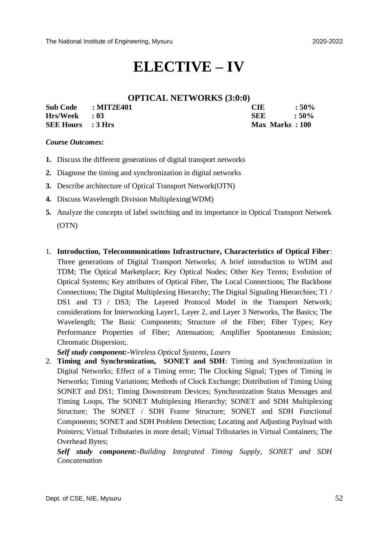## **ELECTIVE – IV**

#### **OPTICAL NETWORKS (3:0:0)**

| Sub Code : MIT2E401      | <b>CIE</b>     | $:50\%$ |
|--------------------------|----------------|---------|
| $Hrs/Week$ : 03          | <b>SEE</b>     | $:50\%$ |
| <b>SEE Hours</b> : 3 Hrs | Max Marks: 100 |         |

#### *Course Outcomes:*

- **1.** Discuss the different generations of digital transport networks
- **2.** Diagnose the timing and synchronization in digital networks
- **3.** Describe architecture of Optical Transport Network(OTN)
- **4.** Discuss Wavelength Division Multiplexing(WDM)
- **5.** Analyze the concepts of label switching and its importance in Optical Transport Network (OTN)
- 1. **Introduction, Telecommunications Infrastructure, Characteristics of Optical Fiber**: Three generations of Digital Transport Networks; A brief introduction to WDM and TDM; The Optical Marketplace; Key Optical Nodes; Other Key Terms; Evolution of Optical Systems; Key attributes of Optical Fiber, The Local Connections; The Backbone Connections; The Digital Multiplexing Hierarchy; The Digital Signaling Hierarchies; T1 / DS1 and T3 / DS3; The Layered Protocol Model in the Transport Network; considerations for Interworking Layer1, Layer 2, and Layer 3 Networks, The Basics; The Wavelength; The Basic Components; Structure of the Fiber; Fiber Types; Key Performance Properties of Fiber; Attenuation; Amplifier Spontaneous Emission; Chromatic Dispersion;.

*Self study component:-Wireless Optical Systems, Lasers*

2. **Timing and Synchronization, SONET and SDH**: Timing and Synchronization in Digital Networks; Effect of a Timing error; The Clocking Signal; Types of Timing in Networks; Timing Variations; Methods of Clock Exchange; Distribution of Timing Using SONET and DS1; Timing Downstream Devices; Synchronization Status Messages and Timing Loops, The SONET Multiplexing Hierarchy; SONET and SDH Multiplexing Structure; The SONET / SDH Frame Structure; SONET and SDH Functional Components; SONET and SDH Problem Detection; Locating and Adjusting Payload with Pointers; Virtual Tributaries in more detail; Virtual Tributaries in Virtual Containers; The Overhead Bytes;

*Self study component:-Building Integrated Timing Supply, SONET and SDH Concatenation*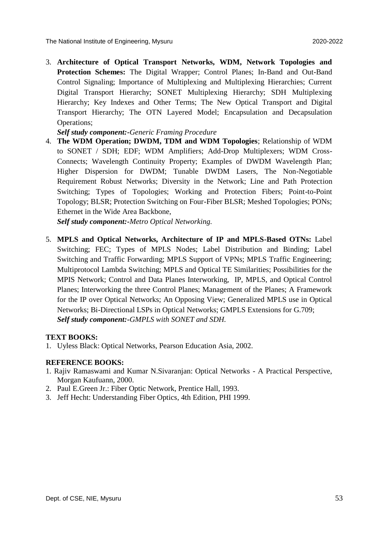3. **Architecture of Optical Transport Networks, WDM, Network Topologies and Protection Schemes:** The Digital Wrapper; Control Planes; In-Band and Out-Band Control Signaling; Importance of Multiplexing and Multiplexing Hierarchies; Current Digital Transport Hierarchy; SONET Multiplexing Hierarchy; SDH Multiplexing Hierarchy; Key Indexes and Other Terms; The New Optical Transport and Digital Transport Hierarchy; The OTN Layered Model; Encapsulation and Decapsulation Operations;

*Self study component:-Generic Framing Procedure*

4. **The WDM Operation; DWDM, TDM and WDM Topologies**; Relationship of WDM to SONET / SDH; EDF; WDM Amplifiers; Add-Drop Multiplexers; WDM Cross-Connects; Wavelength Continuity Property; Examples of DWDM Wavelength Plan; Higher Dispersion for DWDM; Tunable DWDM Lasers, The Non-Negotiable Requirement Robust Networks; Diversity in the Network; Line and Path Protection Switching; Types of Topologies; Working and Protection Fibers; Point-to-Point Topology; BLSR; Protection Switching on Four-Fiber BLSR; Meshed Topologies; PONs; Ethernet in the Wide Area Backbone,

*Self study component:-Metro Optical Networking.*

5. **MPLS and Optical Networks, Architecture of IP and MPLS-Based OTNs:** Label Switching; FEC; Types of MPLS Nodes; Label Distribution and Binding; Label Switching and Traffic Forwarding; MPLS Support of VPNs; MPLS Traffic Engineering; Multiprotocol Lambda Switching; MPLS and Optical TE Similarities; Possibilities for the MPIS Network; Control and Data Planes Interworking, IP, MPLS, and Optical Control Planes; Interworking the three Control Planes; Management of the Planes; A Framework for the IP over Optical Networks; An Opposing View; Generalized MPLS use in Optical Networks; Bi-Directional LSPs in Optical Networks; GMPLS Extensions for G.709; *Self study component:-GMPLS with SONET and SDH.*

#### **TEXT BOOKS:**

1. Uyless Black: Optical Networks, Pearson Education Asia, 2002.

#### **REFERENCE BOOKS:**

- 1. Rajiv Ramaswami and Kumar N.Sivaranjan: Optical Networks A Practical Perspective, Morgan Kaufuann, 2000.
- 2. Paul E.Green Jr.: Fiber Optic Network, Prentice Hall, 1993.
- 3. Jeff Hecht: Understanding Fiber Optics, 4th Edition, PHI 1999.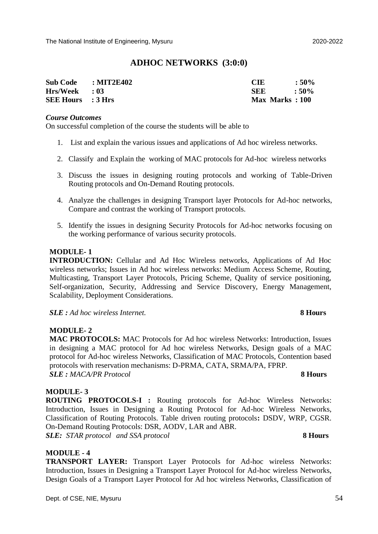#### **ADHOC NETWORKS (3:0:0)**

| Sub Code : MIT2E402      | <b>CIE</b>     | $:50\%$ |
|--------------------------|----------------|---------|
| Hrs/Week : 03            | <b>SEE</b>     | $:50\%$ |
| <b>SEE Hours</b> : 3 Hrs | Max Marks: 100 |         |

#### *Course Outcomes*

On successful completion of the course the students will be able to

- 1. List and explain the various issues and applications of Ad hoc wireless networks.
- 2. Classify and Explain the working of MAC protocols for Ad-hoc wireless networks
- 3. Discuss the issues in designing routing protocols and working of Table-Driven Routing protocols and On-Demand Routing protocols.
- 4. Analyze the challenges in designing Transport layer Protocols for Ad-hoc networks, Compare and contrast the working of Transport protocols.
- 5. Identify the issues in designing Security Protocols for Ad-hoc networks focusing on the working performance of various security protocols.

#### **MODULE- 1**

**INTRODUCTION:** Cellular and Ad Hoc Wireless networks, Applications of Ad Hoc wireless networks; Issues in Ad hoc wireless networks: Medium Access Scheme, Routing, Multicasting, Transport Layer Protocols, Pricing Scheme, Quality of service positioning, Self-organization, Security, Addressing and Service Discovery, Energy Management, Scalability, Deployment Considerations.

*SLE : Ad hoc wireless Internet.* **8 Hours**

#### **MODULE- 2**

**MAC PROTOCOLS:** MAC Protocols for Ad hoc wireless Networks: Introduction, Issues in designing a MAC protocol for Ad hoc wireless Networks, Design goals of a MAC protocol for Ad-hoc wireless Networks, Classification of MAC Protocols, Contention based protocols with reservation mechanisms: D-PRMA, CATA, SRMA/PA, FPRP. *SLE : MACA/PR Protocol* **8 Hours** 

## **MODULE- 3**

**ROUTING PROTOCOLS-I :** Routing protocols for Ad-hoc Wireless Networks: Introduction, Issues in Designing a Routing Protocol for Ad-hoc Wireless Networks, Classification of Routing Protocols. Table driven routing protocols**:** DSDV, WRP, CGSR. On-Demand Routing Protocols: DSR, AODV, LAR and ABR. *SLE: STAR protocol and SSA protocol* **8 Hours**

#### **MODULE - 4**

**TRANSPORT LAYER:** Transport Layer Protocols for Ad-hoc wireless Networks: Introduction, Issues in Designing a Transport Layer Protocol for Ad-hoc wireless Networks, Design Goals of a Transport Layer Protocol for Ad hoc wireless Networks, Classification of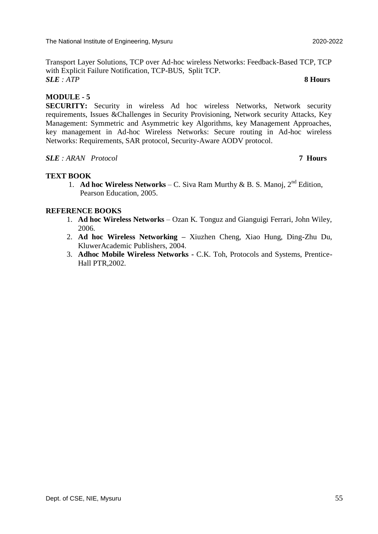Transport Layer Solutions, TCP over Ad-hoc wireless Networks: Feedback-Based TCP, TCP with Explicit Failure Notification, TCP-BUS, Split TCP. *SLE : ATP* **8 Hours**

#### **MODULE - 5**

**SECURITY:** Security in wireless Ad hoc wireless Networks, Network security requirements, Issues &Challenges in Security Provisioning, Network security Attacks, Key Management: Symmetric and Asymmetric key Algorithms, key Management Approaches, key management in Ad-hoc Wireless Networks: Secure routing in Ad-hoc wireless Networks: Requirements, SAR protocol, Security-Aware AODV protocol.

#### *SLE : ARAN Protocol* **7 Hours**

#### **TEXT BOOK**

1. **Ad hoc Wireless Networks** – C. Siva Ram Murthy & B. S. Manoj,  $2<sup>nd</sup>$  Edition, Pearson Education, 2005.

#### **REFERENCE BOOKS**

- 1. **Ad hoc Wireless Networks**  Ozan K. Tonguz and Gianguigi Ferrari, John Wiley, 2006.
- 2. **Ad hoc Wireless Networking –** Xiuzhen Cheng, Xiao Hung, Ding-Zhu Du, KluwerAcademic Publishers, 2004.
- 3. **Adhoc Mobile Wireless Networks -** C.K. Toh, Protocols and Systems, Prentice-Hall PTR,2002.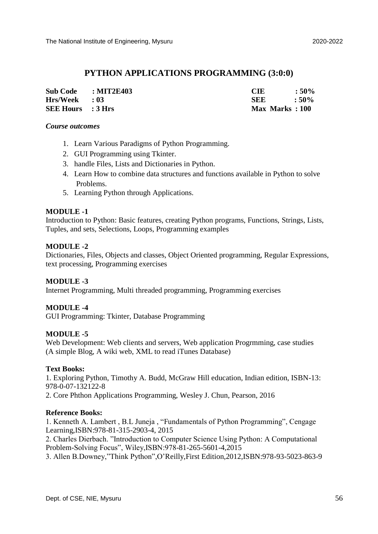#### **PYTHON APPLICATIONS PROGRAMMING (3:0:0)**

| Sub Code : MIT2E403      | CIE            | $:50\%$ |
|--------------------------|----------------|---------|
| $Hrs/Week$ : 03          | <b>SEE</b>     | $:50\%$ |
| <b>SEE Hours</b> : 3 Hrs | Max Marks: 100 |         |

#### *Course outcomes*

- 1. Learn Various Paradigms of Python Programming.
- 2. GUI Programming using Tkinter.
- 3. handle Files, Lists and Dictionaries in Python.
- 4. Learn How to combine data structures and functions available in Python to solve Problems.
- 5. Learning Python through Applications.

#### **MODULE -1**

Introduction to Python: Basic features, creating Python programs, Functions, Strings, Lists, Tuples, and sets, Selections, Loops, Programming examples

#### **MODULE -2**

Dictionaries, Files, Objects and classes, Object Oriented programming, Regular Expressions, text processing, Programming exercises

#### **MODULE -3**

Internet Programming, Multi threaded programming, Programming exercises

#### **MODULE -4**

GUI Programming: Tkinter, Database Programming

#### **MODULE -5**

Web Development: Web clients and servers, Web application Progrmming, case studies (A simple Blog, A wiki web, XML to read iTunes Database)

#### **Text Books:**

1. Exploring Python, Timothy A. Budd, McGraw Hill education, Indian edition, ISBN-13: 978-0-07-132122-8

2. Core Phthon Applications Programming, Wesley J. Chun, Pearson, 2016

#### **Reference Books:**

1. Kenneth A. Lambert , B.L Juneja , "Fundamentals of Python Programming", Cengage Learning,ISBN:978-81-315-2903-4, 2015

2. Charles Dierbach. "Introduction to Computer Science Using Python: A Computational Problem-Solving Focus", Wiley,ISBN:978-81-265-5601-4,2015

3. Allen B.Downey,"Think Python",O'Reilly,First Edition,2012,ISBN:978-93-5023-863-9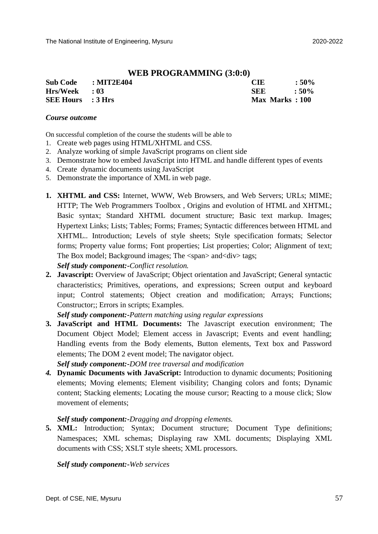#### **WEB PROGRAMMING (3:0:0)**

| Sub Code : MIT2E404      | <b>CIE</b>     | $:50\%$ |
|--------------------------|----------------|---------|
| $Hrs/Week$ : 03          | SEE            | $:50\%$ |
| <b>SEE Hours</b> : 3 Hrs | Max Marks: 100 |         |

#### *Course outcome*

On successful completion of the course the students will be able to

- 1. Create web pages using HTML/XHTML and CSS.
- 2. Analyze working of simple JavaScript programs on client side
- 3. Demonstrate how to embed JavaScript into HTML and handle different types of events
- 4. Create dynamic documents using JavaScript
- 5. Demonstrate the importance of XML in web page.
- **1. XHTML and CSS:** Internet, WWW, Web Browsers, and Web Servers; URLs; MIME; HTTP; The Web Programmers Toolbox , Origins and evolution of HTML and XHTML; Basic syntax; Standard XHTML document structure; Basic text markup. Images; Hypertext Links; Lists; Tables; Forms; Frames; Syntactic differences between HTML and XHTML.. Introduction; Levels of style sheets; Style specification formats; Selector forms; Property value forms; Font properties; List properties; Color; Alignment of text; The Box model; Background images; The <span> and<div> tags;

*Self study component:-Conflict resolution.*

**2. Javascript:** Overview of JavaScript; Object orientation and JavaScript; General syntactic characteristics; Primitives, operations, and expressions; Screen output and keyboard input; Control statements; Object creation and modification; Arrays; Functions; Constructor;; Errors in scripts; Examples.

*Self study component:-Pattern matching using regular expressions*

**3. JavaScript and HTML Documents:** The Javascript execution environment; The Document Object Model; Element access in Javascript; Events and event handling; Handling events from the Body elements, Button elements, Text box and Password elements; The DOM 2 event model; The navigator object.

*Self study component:-DOM tree traversal and modification*

*4.* **Dynamic Documents with JavaScript:** Introduction to dynamic documents; Positioning elements; Moving elements; Element visibility; Changing colors and fonts; Dynamic content; Stacking elements; Locating the mouse cursor; Reacting to a mouse click; Slow movement of elements;

#### *Self study component:-Dragging and dropping elements.*

**5. XML:** Introduction; Syntax; Document structure; Document Type definitions; Namespaces; XML schemas; Displaying raw XML documents; Displaying XML documents with CSS; XSLT style sheets; XML processors.

*Self study component:-Web services*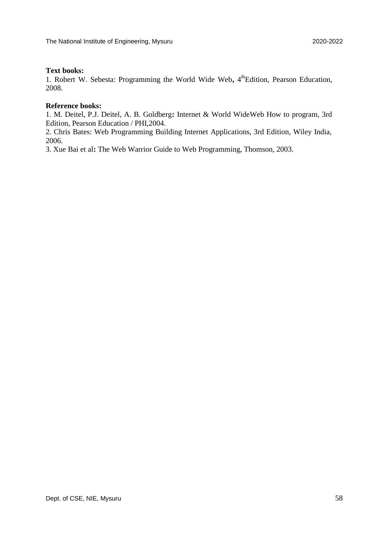#### **Text books:**

1. Robert W. Sebesta: Programming the World Wide Web, 4<sup>th</sup>Edition, Pearson Education, 2008.

#### **Reference books:**

1. M. Deitel, P.J. Deitel, A. B. Goldberg**:** Internet & World WideWeb How to program, 3rd Edition, Pearson Education / PHI,2004.

2. Chris Bates: Web Programming Building Internet Applications, 3rd Edition, Wiley India, 2006.

3. Xue Bai et al**:** The Web Warrior Guide to Web Programming, Thomson, 2003.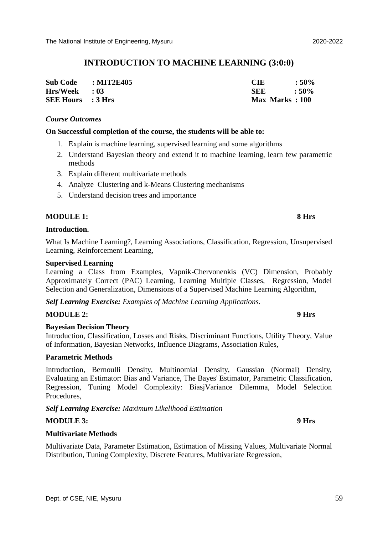#### **INTRODUCTION TO MACHINE LEARNING (3:0:0)**

| Sub Code : MIT2E405      | <b>CIE</b>     | $:50\%$ |
|--------------------------|----------------|---------|
| Hrs/Week : 03            | <b>SEE</b>     | $:50\%$ |
| <b>SEE Hours</b> : 3 Hrs | Max Marks: 100 |         |

#### *Course Outcomes*

#### **On Successful completion of the course, the students will be able to:**

- 1. Explain is machine learning, supervised learning and some algorithms
- 2. Understand Bayesian theory and extend it to machine learning, learn few parametric methods
- 3. Explain different multivariate methods
- 4. Analyze Clustering and k-Means Clustering mechanisms
- 5. Understand decision trees and importance

#### **MODULE 1:** 8 Hrs

#### **Introduction.**

What Is Machine Learning?, Learning Associations, Classification, Regression, Unsupervised Learning, Reinforcement Learning,

#### **Supervised Learning**

Learning a Class from Examples, Vapnik-Chervonenkis (VC) Dimension, Probably Approximately Correct (PAC) Learning, Learning Multiple Classes, Regression, Model Selection and Generalization, Dimensions of a Supervised Machine Learning Algorithm,

*Self Learning Exercise: Examples of Machine Learning Applications.*

#### **MODULE 2:** 9 Hrs

#### **Bayesian Decision Theory**

Introduction, Classification, Losses and Risks, Discriminant Functions, Utility Theory, Value of Information, Bayesian Networks, Influence Diagrams, Association Rules,

#### **Parametric Methods**

Introduction, Bernoulli Density, Multinomial Density, Gaussian (Normal) Density, Evaluating an Estimator: Bias and Variance, The Bayes' Estimator, Parametric Classification, Regression, Tuning Model Complexity: BiasjVariance Dilemma, Model Selection Procedures,

*Self Learning Exercise: Maximum Likelihood Estimation*

#### **MODULE 3:** 9 Hrs

#### **Multivariate Methods**

Multivariate Data, Parameter Estimation, Estimation of Missing Values, Multivariate Normal Distribution, Tuning Complexity, Discrete Features, Multivariate Regression,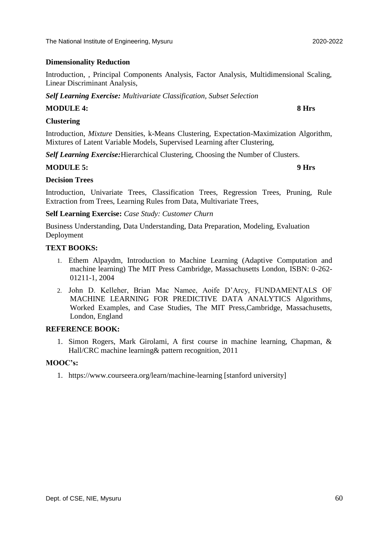#### **Dimensionality Reduction**

Introduction, , Principal Components Analysis, Factor Analysis, Multidimensional Scaling, Linear Discriminant Analysis,

*Self Learning Exercise: Multivariate Classification, Subset Selection*

#### **MODULE 4:** 8 Hrs

**Clustering** 

Introduction, *Mixture* Densities, k-Means Clustering, Expectation-Maximization Algorithm, Mixtures of Latent Variable Models, Supervised Learning after Clustering,

*Self Learning Exercise:*Hierarchical Clustering, Choosing the Number of Clusters.

#### **MODULE 5:** 9 Hrs

#### **Decision Trees**

Introduction, Univariate Trees, Classification Trees, Regression Trees, Pruning, Rule Extraction from Trees, Learning Rules from Data, Multivariate Trees,

**Self Learning Exercise:** *Case Study: Customer Churn*

Business Understanding, Data Understanding, Data Preparation, Modeling, Evaluation Deployment

#### **TEXT BOOKS:**

- 1. Ethem Alpaydm, Introduction to Machine Learning (Adaptive Computation and machine learning) The MIT Press Cambridge, Massachusetts London, ISBN: 0-262- 01211-1, 2004
- 2. John D. Kelleher, Brian Mac Namee, Aoife D'Arcy, FUNDAMENTALS OF MACHINE LEARNING FOR PREDICTIVE DATA ANALYTICS Algorithms, Worked Examples, and Case Studies, The MIT Press,Cambridge, Massachusetts, London, England

#### **REFERENCE BOOK:**

1. Simon Rogers, Mark Girolami, A first course in machine learning, Chapman, & Hall/CRC machine learning& pattern recognition, 2011

#### **MOOC's:**

1. https://www.courseera.org/learn/machine-learning [stanford university]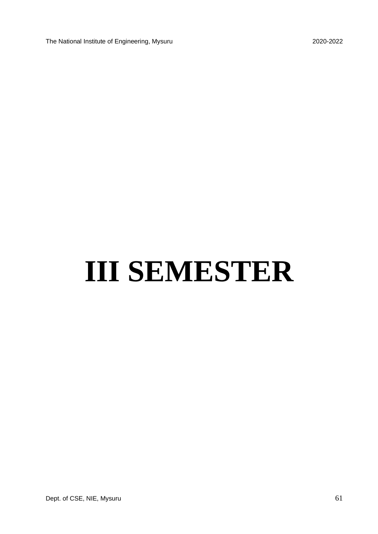# **III SEMESTER**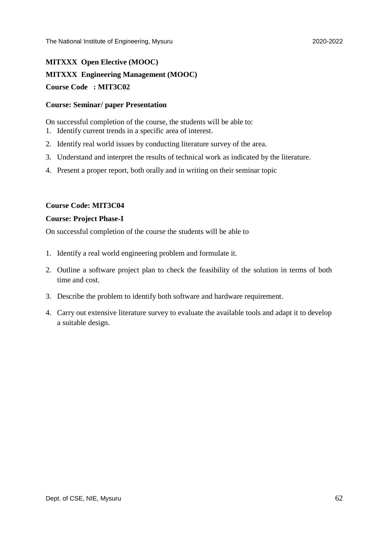## **MITXXX Open Elective (MOOC) MITXXX Engineering Management (MOOC) Course Code : MIT3C02**

#### **Course: Seminar/ paper Presentation**

On successful completion of the course, the students will be able to:

- 1. Identify current trends in a specific area of interest.
- 2. Identify real world issues by conducting literature survey of the area.
- 3. Understand and interpret the results of technical work as indicated by the literature.
- 4. Present a proper report, both orally and in writing on their seminar topic

#### **Course Code: MIT3C04**

#### **Course: Project Phase-I**

On successful completion of the course the students will be able to

- 1. Identify a real world engineering problem and formulate it.
- 2. Outline a software project plan to check the feasibility of the solution in terms of both time and cost.
- 3. Describe the problem to identify both software and hardware requirement.
- 4. Carry out extensive literature survey to evaluate the available tools and adapt it to develop a suitable design.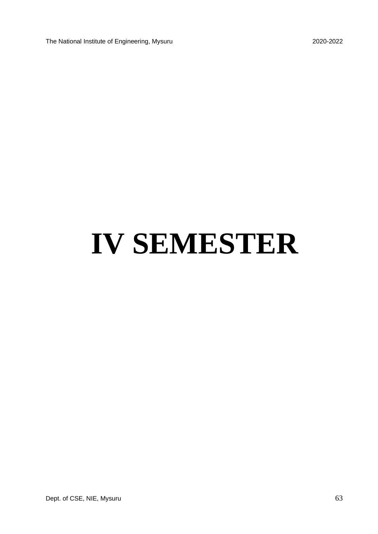The National Institute of Engineering, Mysuru 2020-2022

# **IV SEMESTER**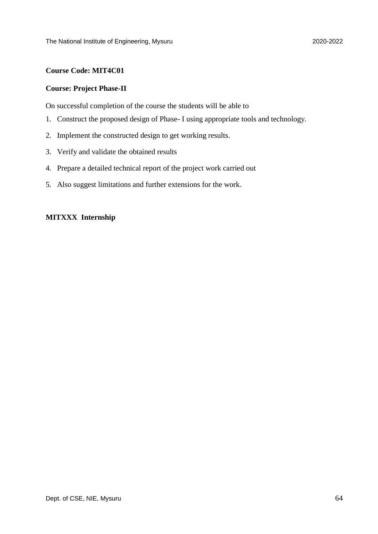#### **Course Code: MIT4C01**

#### **Course: Project Phase-II**

On successful completion of the course the students will be able to

- 1. Construct the proposed design of Phase- I using appropriate tools and technology.
- 2. Implement the constructed design to get working results.
- 3. Verify and validate the obtained results
- 4. Prepare a detailed technical report of the project work carried out
- 5. Also suggest limitations and further extensions for the work.

#### **MITXXX Internship**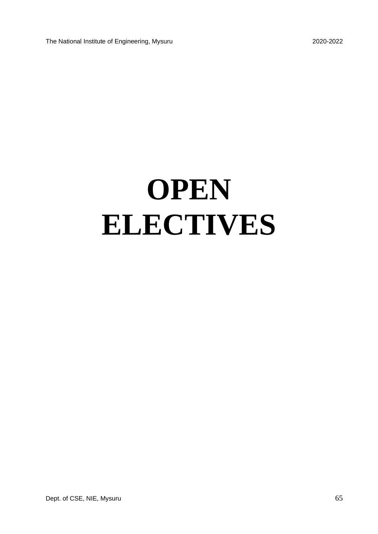The National Institute of Engineering, Mysuru 2020-2022

# **OPEN ELECTIVES**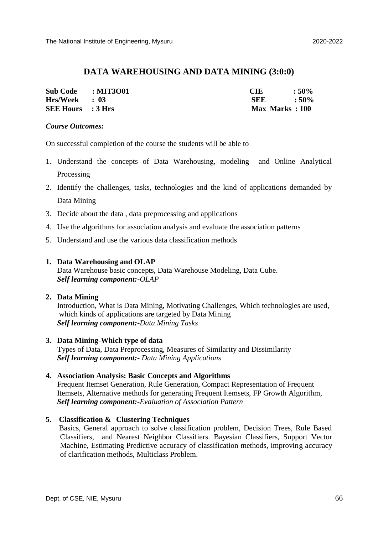#### **DATA WAREHOUSING AND DATA MINING (3:0:0)**

| <b>Sub Code</b>          | : MIT3O01 | CIE            | $:50\%$       |
|--------------------------|-----------|----------------|---------------|
| $Hrs/Week$ : 03          |           | <b>SEE</b>     | $\cdot$ : 50% |
| <b>SEE Hours</b> : 3 Hrs |           | Max Marks: 100 |               |

#### *Course Outcomes:*

On successful completion of the course the students will be able to

- 1. Understand the concepts of Data Warehousing, modeling and Online Analytical Processing
- 2. Identify the challenges, tasks, technologies and the kind of applications demanded by Data Mining
- 3. Decide about the data , data preprocessing and applications
- 4. Use the algorithms for association analysis and evaluate the association patterns
- 5. Understand and use the various data classification methods

#### **1. Data Warehousing and OLAP**

 Data Warehouse basic concepts, Data Warehouse Modeling, Data Cube.  *Self learning component:-OLAP*

#### **2. Data Mining**

 Introduction, What is Data Mining, Motivating Challenges, Which technologies are used, which kinds of applications are targeted by Data Mining  *Self learning component:-Data Mining Tasks*

#### **3. Data Mining-Which type of data**

 Types of Data, Data Preprocessing, Measures of Similarity and Dissimilarity *Self learning component:- Data Mining Applications* 

#### **4. Association Analysis: Basic Concepts and Algorithms**

 Frequent Itemset Generation, Rule Generation, Compact Representation of Frequent Itemsets, Alternative methods for generating Frequent Itemsets, FP Growth Algorithm,  *Self learning component:-Evaluation of Association Pattern*

#### **5. Classification & Clustering Techniques**

 Basics, General approach to solve classification problem, Decision Trees, Rule Based Classifiers, and Nearest Neighbor Classifiers. Bayesian Classifiers, Support Vector Machine, Estimating Predictive accuracy of classification methods, improving accuracy of clarification methods, Multiclass Problem.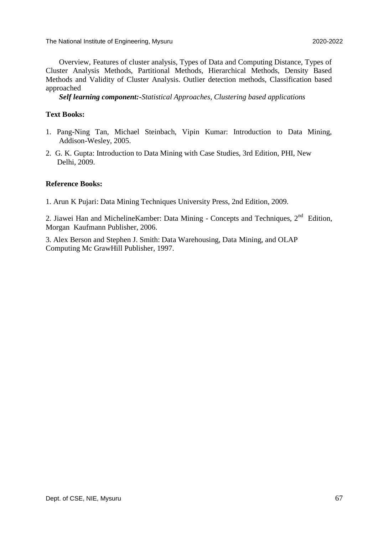The National Institute of Engineering, Mysuru 2020-2022

Overview, Features of cluster analysis, Types of Data and Computing Distance, Types of Cluster Analysis Methods, Partitional Methods, Hierarchical Methods, Density Based Methods and Validity of Cluster Analysis. Outlier detection methods, Classification based approached

*Self learning component:-Statistical Approaches, Clustering based applications*

#### **Text Books:**

- 1. Pang-Ning Tan, Michael Steinbach, Vipin Kumar: Introduction to Data Mining, Addison-Wesley, 2005.
- 2. G. K. Gupta: Introduction to Data Mining with Case Studies, 3rd Edition, PHI, New Delhi, 2009.

#### **Reference Books:**

1. Arun K Pujari: Data Mining Techniques University Press, 2nd Edition, 2009.

2. Jiawei Han and Micheline Kamber: Data Mining - Concepts and Techniques,  $2<sup>nd</sup>$  Edition, Morgan Kaufmann Publisher, 2006.

3. Alex Berson and Stephen J. Smith: Data Warehousing, Data Mining, and OLAP Computing Mc GrawHill Publisher, 1997.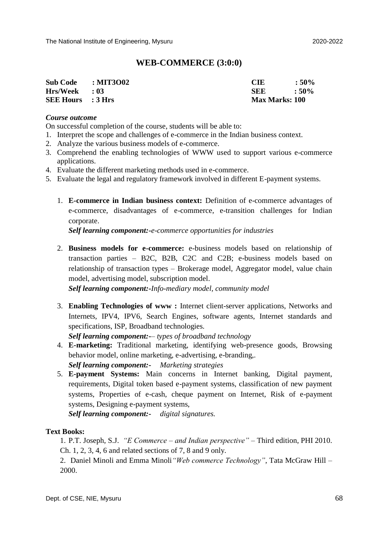#### **WEB-COMMERCE (3:0:0)**

| <b>Sub Code</b>          | $\therefore$ MIT3O02 | <b>CIE</b>            | $:50\%$ |
|--------------------------|----------------------|-----------------------|---------|
| $Hrs/Week$ : 03          |                      | <b>SEE</b>            | $:50\%$ |
| <b>SEE Hours</b> : 3 Hrs |                      | <b>Max Marks: 100</b> |         |

#### *Course outcome*

On successful completion of the course, students will be able to:

- 1. Interpret the scope and challenges of e-commerce in the Indian business context.
- 2. Analyze the various business models of e-commerce.
- 3. Comprehend the enabling technologies of WWW used to support various e-commerce applications.
- 4. Evaluate the different marketing methods used in e-commerce.
- 5. Evaluate the legal and regulatory framework involved in different E-payment systems.
	- 1. **E-commerce in Indian business context:** Definition of e-commerce advantages of e-commerce, disadvantages of e-commerce, e-transition challenges for Indian corporate.

*Self learning component:-e-commerce opportunities for industries*

2. **Business models for e-commerce:** e-business models based on relationship of transaction parties – B2C, B2B, C2C and C2B; e-business models based on relationship of transaction types – Brokerage model, Aggregator model, value chain model, advertising model, subscription model.

*Self learning component:-Info-mediary model, community model*

3. **Enabling Technologies of www :** Internet client-server applications, Networks and Internets, IPV4, IPV6, Search Engines, software agents, Internet standards and specifications, ISP, Broadband technologies.

*Self learning component:-– types of broadband technology*

4. **E-marketing:** Traditional marketing, identifying web-presence goods, Browsing behavior model, online marketing, e-advertising, e-branding,. *Self learning component:- Marketing strategies*

5. **E-payment Systems:** Main concerns in Internet banking, Digital payment, requirements, Digital token based e-payment systems, classification of new payment systems, Properties of e-cash, cheque payment on Internet, Risk of e-payment systems, Designing e-payment systems,

*Self learning component:- digital signatures.*

#### **Text Books:**

1. P.T. Joseph, S.J. *"E Commerce – and Indian perspective"* – Third edition, PHI 2010. Ch. 1, 2, 3, 4, 6 and related sections of 7, 8 and 9 only.

2. Daniel Minoli and Emma Minoli*"Web commerce Technology"*, Tata McGraw Hill – 2000.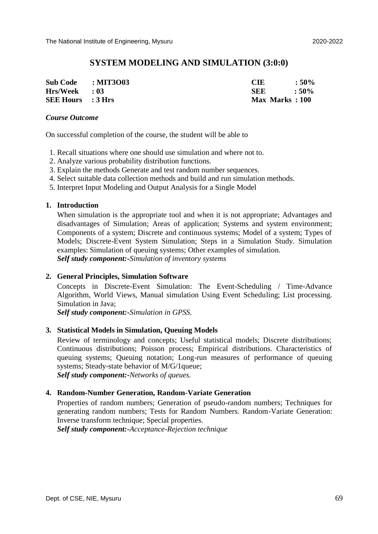#### **SYSTEM MODELING AND SIMULATION (3:0:0)**

| Sub Code : MIT3003       | <b>CIE</b>     | $:50\%$ |
|--------------------------|----------------|---------|
| $Hrs/Week$ : 03          | -SEE           | $:50\%$ |
| <b>SEE Hours</b> : 3 Hrs | Max Marks: 100 |         |

#### *Course Outcome*

On successful completion of the course, the student will be able to

- 1. Recall situations where one should use simulation and where not to.
- 2. Analyze various probability distribution functions.
- 3. Explain the methods Generate and test random number sequences.
- 4. Select suitable data collection methods and build and run simulation methods.
- 5. Interpret Input Modeling and Output Analysis for a Single Model

#### **1. Introduction**

When simulation is the appropriate tool and when it is not appropriate; Advantages and disadvantages of Simulation; Areas of application; Systems and system environment; Components of a system; Discrete and continuous systems; Model of a system; Types of Models; Discrete-Event System Simulation; Steps in a Simulation Study. Simulation examples: Simulation of queuing systems; Other examples of simulation. *Self study component:-Simulation of inventory systems*

#### **2. General Principles, Simulation Software**

Concepts in Discrete-Event Simulation: The Event-Scheduling / Time-Advance Algorithm, World Views, Manual simulation Using Event Scheduling; List processing. Simulation in Java;

*Self study component:-Simulation in GPSS.*

#### **3. Statistical Models in Simulation, Queuing Models**

Review of terminology and concepts; Useful statistical models; Discrete distributions; Continuous distributions; Poisson process; Empirical distributions. Characteristics of queuing systems; Queuing notation; Long-run measures of performance of queuing systems; Steady-state behavior of M/G/1queue; *Self study component:-Networks of queues.*

#### **4. Random-Number Generation, Random-Variate Generation**

Properties of random numbers; Generation of pseudo-random numbers; Techniques for generating random numbers; Tests for Random Numbers. Random-Variate Generation: Inverse transform technique; Special properties.

*Self study component:-Acceptance-Rejection technique*